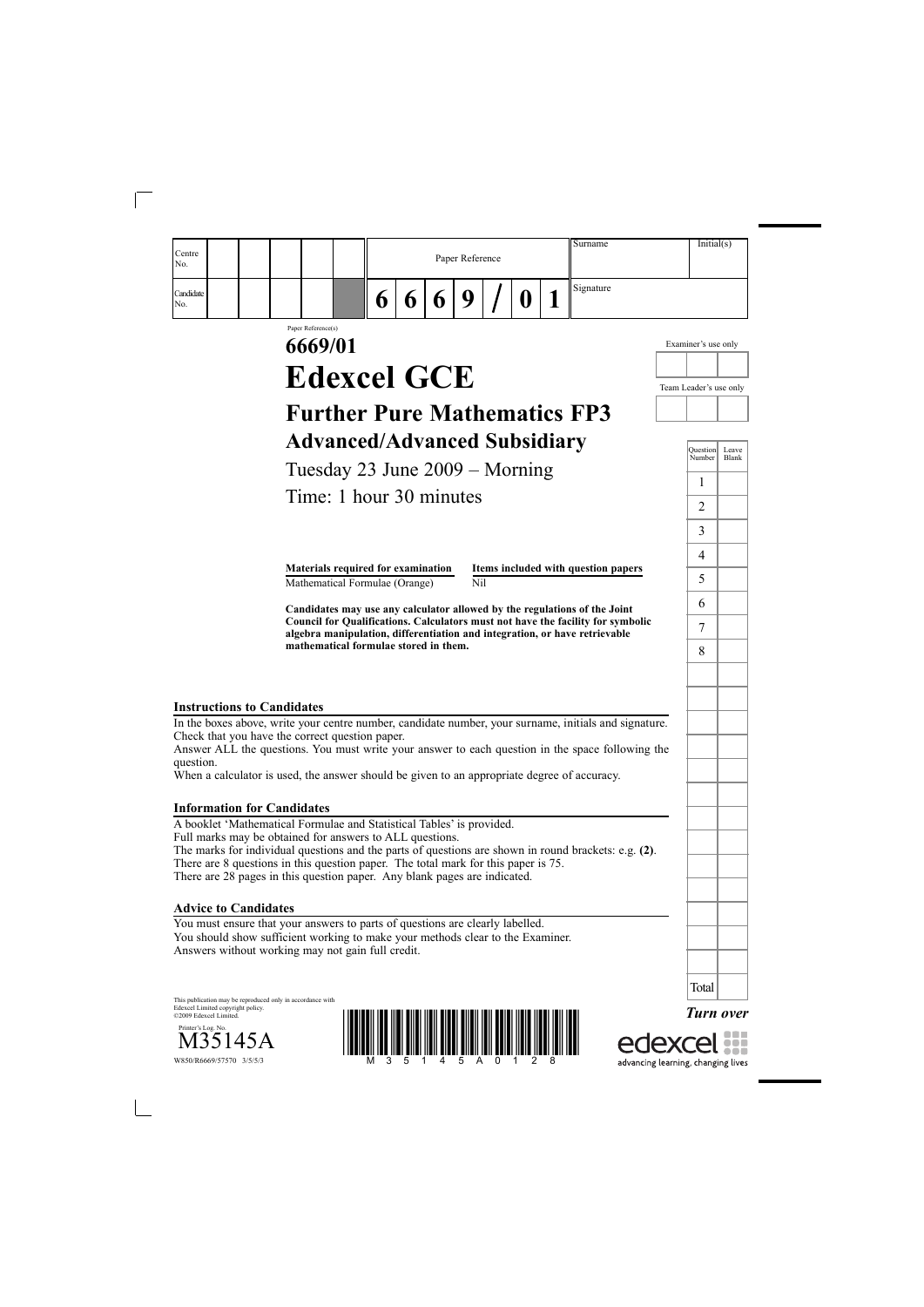| Centre<br>No.    |  |  |   |   | Paper Reference |  | Surname   | Initial(s) |
|------------------|--|--|---|---|-----------------|--|-----------|------------|
| Candidate<br>No. |  |  | w | v | O               |  | Signature |            |

# Paper Reference(s) **6669/01 Edexcel GCE**

# **Further Pure Mathematics FP3 Advanced/Advanced Subsidiary**

Tuesday 23 June 2009 – Morning

Time: 1 hour 30 minutes

**Materials required for examination Items included with question papers** Mathematical Formulae (Orange) Nil

**Candidates may use any calculator allowed by the regulations of the Joint Council for Qualifications. Calculators must not have the facility for symbolic algebra manipulation, differentiation and integration, or have retrievable mathematical formulae stored in them.**

### **Instructions to Candidates**

In the boxes above, write your centre number, candidate number, your surname, initials and signature. Check that you have the correct question paper.

Answer ALL the questions. You must write your answer to each question in the space following the question.

When a calculator is used, the answer should be given to an appropriate degree of accuracy.

#### **Information for Candidates**

A booklet 'Mathematical Formulae and Statistical Tables' is provided. Full marks may be obtained for answers to ALL questions. The marks for individual questions and the parts of questions are shown in round brackets: e.g. **(2)**. There are 8 questions in this question paper. The total mark for this paper is 75. There are 28 pages in this question paper. Any blank pages are indicated.

### **Advice to Candidates**

You must ensure that your answers to parts of questions are clearly labelled. You should show sufficient working to make your methods clear to the Examiner. Answers without working may not gain full credit.

This publication may be reproduced only in accordance with Edexcel Limited copyright policy. ©2009 Edexcel Limited.







| Question<br>Number | Leave<br>Blank |
|--------------------|----------------|
| $\mathbf{1}$       |                |
| $\overline{2}$     |                |
| 3                  |                |
| $\overline{4}$     |                |
| 5                  |                |
| $\overline{6}$     |                |
| 7                  |                |
| 8                  |                |
|                    |                |
|                    |                |
|                    |                |
|                    |                |
|                    |                |
|                    |                |
|                    |                |
|                    |                |
|                    |                |
|                    |                |
|                    |                |
|                    |                |
| Total              |                |
|                    | Turn over      |

Examiner's use only

Team Leader's use only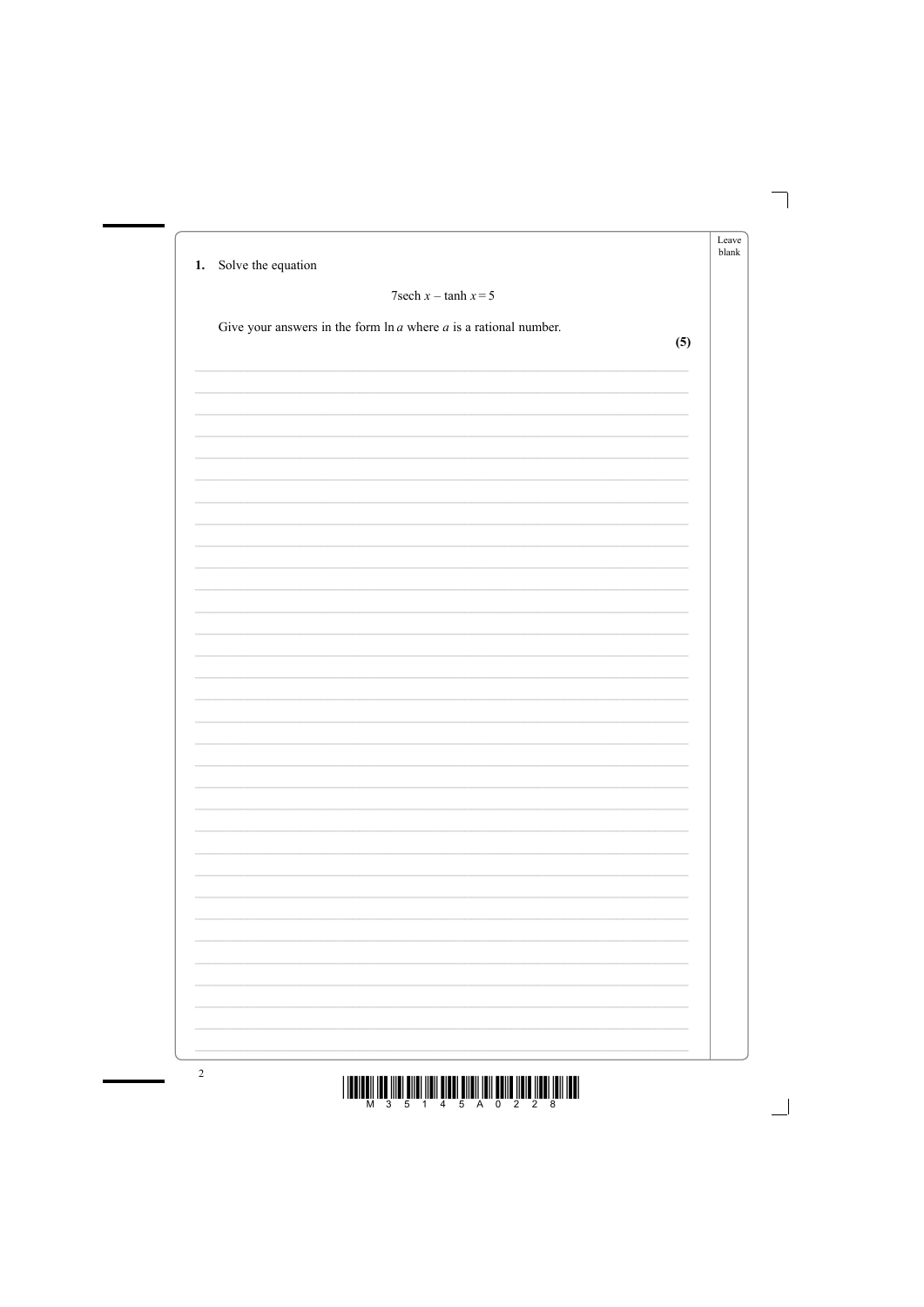|                                                                       |     | Leave<br>blank |
|-----------------------------------------------------------------------|-----|----------------|
| Solve the equation<br>1.                                              |     |                |
| $7$ sech $x$ – tanh $x = 5$                                           |     |                |
| Give your answers in the form $\ln a$ where $a$ is a rational number. |     |                |
|                                                                       | (5) |                |
|                                                                       |     |                |
|                                                                       |     |                |
|                                                                       |     |                |
|                                                                       |     |                |
|                                                                       |     |                |
|                                                                       |     |                |
|                                                                       |     |                |
|                                                                       |     |                |
|                                                                       |     |                |
|                                                                       |     |                |
|                                                                       |     |                |
|                                                                       |     |                |
|                                                                       |     |                |
|                                                                       |     |                |
|                                                                       |     |                |
|                                                                       |     |                |
|                                                                       |     |                |
|                                                                       |     |                |
|                                                                       |     |                |
|                                                                       |     |                |
|                                                                       |     |                |
|                                                                       |     |                |
|                                                                       |     |                |
|                                                                       |     |                |
|                                                                       |     |                |
|                                                                       |     |                |
|                                                                       |     |                |
|                                                                       |     |                |
|                                                                       |     |                |

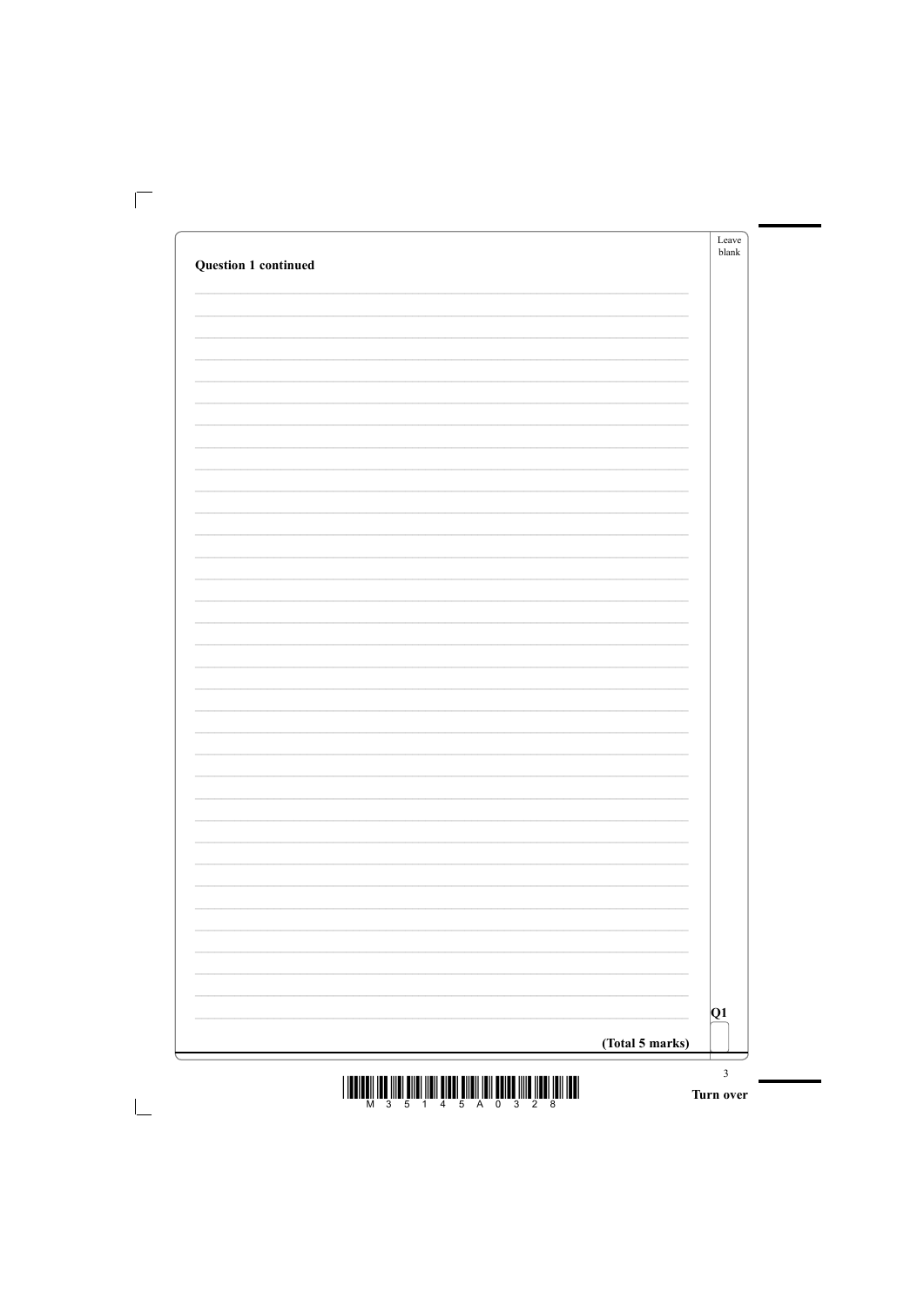| <b>Question 1 continued</b> |                 | Leave<br>blank |
|-----------------------------|-----------------|----------------|
|                             |                 |                |
|                             |                 |                |
|                             |                 |                |
|                             |                 |                |
|                             |                 |                |
|                             |                 |                |
|                             |                 |                |
|                             |                 |                |
|                             |                 |                |
|                             |                 |                |
|                             |                 |                |
|                             |                 |                |
|                             |                 |                |
|                             |                 |                |
|                             |                 |                |
|                             |                 |                |
|                             |                 |                |
|                             |                 |                |
|                             |                 |                |
|                             |                 |                |
|                             |                 |                |
|                             |                 |                |
|                             |                 |                |
|                             |                 |                |
|                             |                 |                |
|                             |                 |                |
|                             |                 | Q1             |
|                             |                 |                |
|                             | (Total 5 marks) |                |

 $\begin{array}{c} \textbf{1} & \textbf{1} & \textbf{1} & \textbf{1} & \textbf{1} & \textbf{1} & \textbf{1} & \textbf{1} & \textbf{1} & \textbf{1} & \textbf{1} & \textbf{1} & \textbf{1} & \textbf{1} & \textbf{1} & \textbf{1} & \textbf{1} & \textbf{1} & \textbf{1} & \textbf{1} & \textbf{1} & \textbf{1} & \textbf{1} & \textbf{1} & \textbf{1} & \textbf{1} & \textbf{1} & \textbf{1} & \textbf{1} & \textbf{1} & \textbf$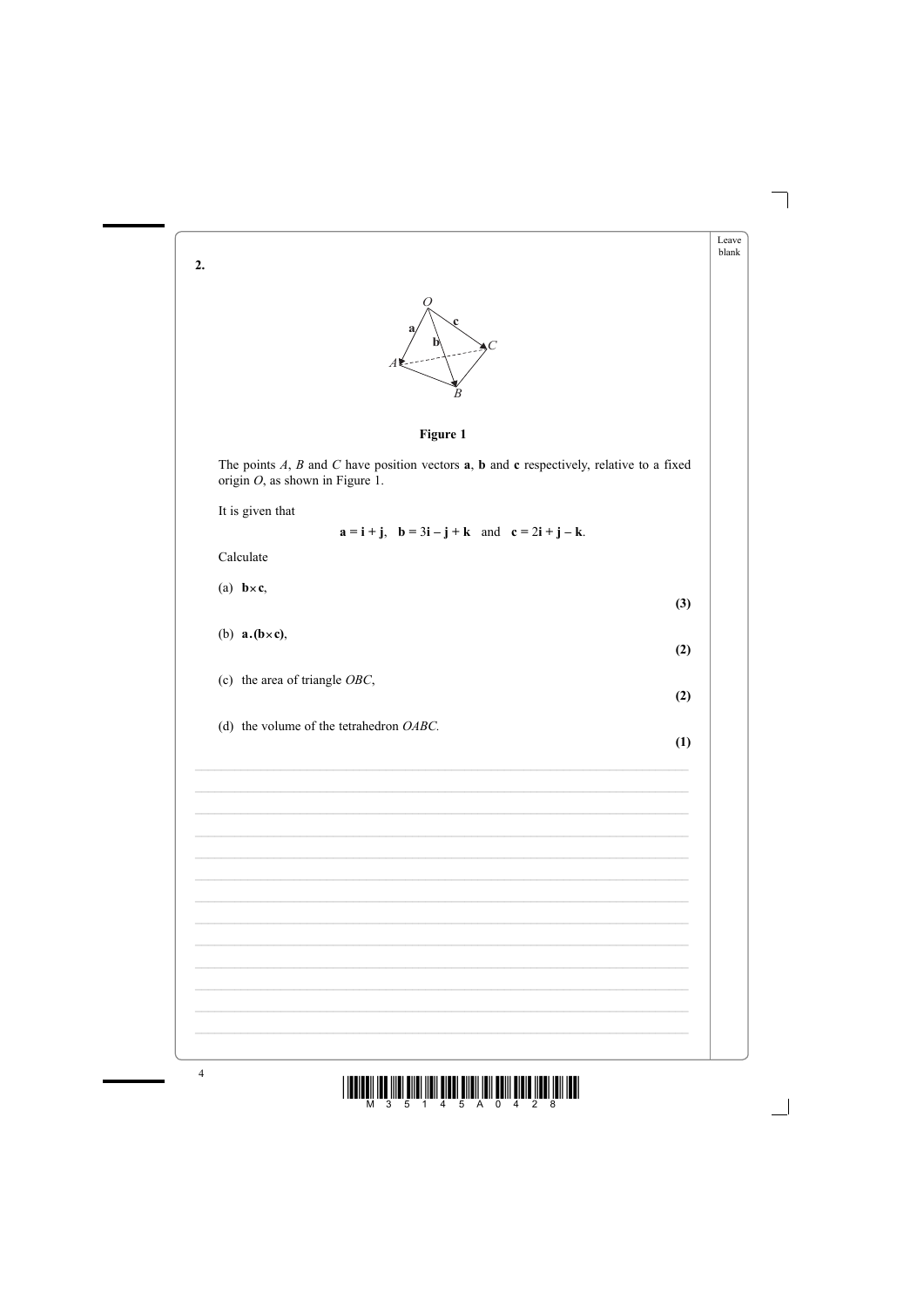$2.$ 

Leave blank



## Figure 1

The points  $A$ ,  $B$  and  $C$  have position vectors  $\bf{a}$ ,  $\bf{b}$  and  $\bf{c}$  respectively, relative to a fixed origin  $O$ , as shown in Figure 1.

It is given that

 $\mathbf{a} = \mathbf{i} + \mathbf{j}$ ,  $\mathbf{b} = 3\mathbf{i} - \mathbf{j} + \mathbf{k}$  and  $\mathbf{c} = 2\mathbf{i} + \mathbf{j} - \mathbf{k}$ .

Calculate

(a)  $\mathbf{b} \times \mathbf{c}$ ,

(b)  $\mathbf{a} \cdot (\mathbf{b} \times \mathbf{c})$ ,

(c) the area of triangle  $OBC$ ,

(d) the volume of the tetrahedron  $OABC$ .

 $(1)$ 

 $(3)$ 

 $(2)$ 

 $(2)$ 

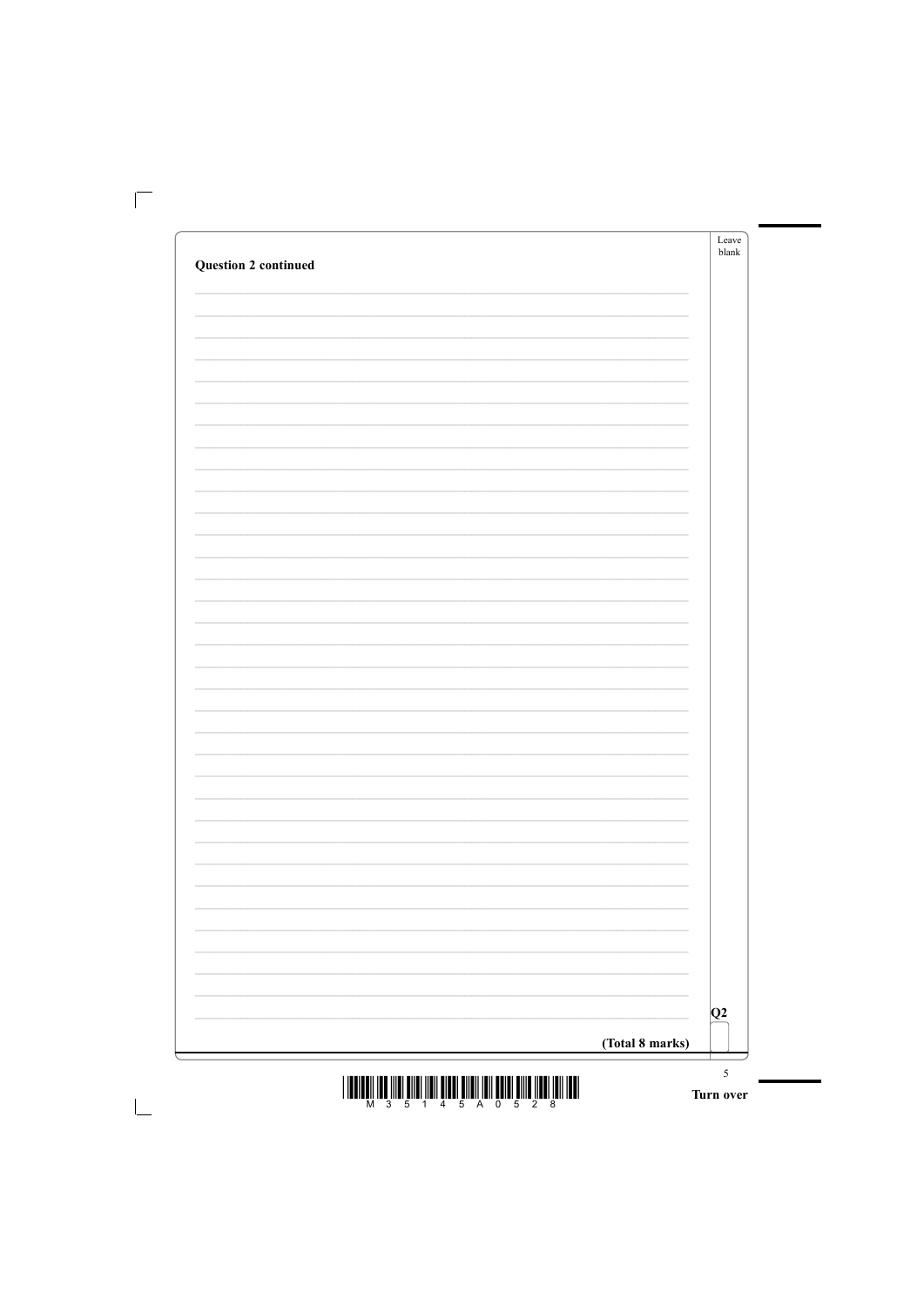| <b>Question 2 continued</b> |                 | Leave<br>blank |
|-----------------------------|-----------------|----------------|
|                             |                 |                |
|                             |                 |                |
|                             |                 |                |
|                             |                 |                |
|                             |                 |                |
|                             |                 |                |
|                             |                 |                |
|                             |                 |                |
|                             |                 |                |
|                             |                 |                |
|                             |                 |                |
|                             |                 |                |
|                             |                 |                |
|                             |                 |                |
|                             |                 |                |
|                             |                 |                |
|                             |                 |                |
|                             |                 |                |
|                             |                 |                |
|                             |                 |                |
|                             |                 |                |
|                             |                 |                |
|                             |                 |                |
|                             |                 |                |
|                             |                 |                |
|                             |                 | Q2             |
|                             | (Total 8 marks) |                |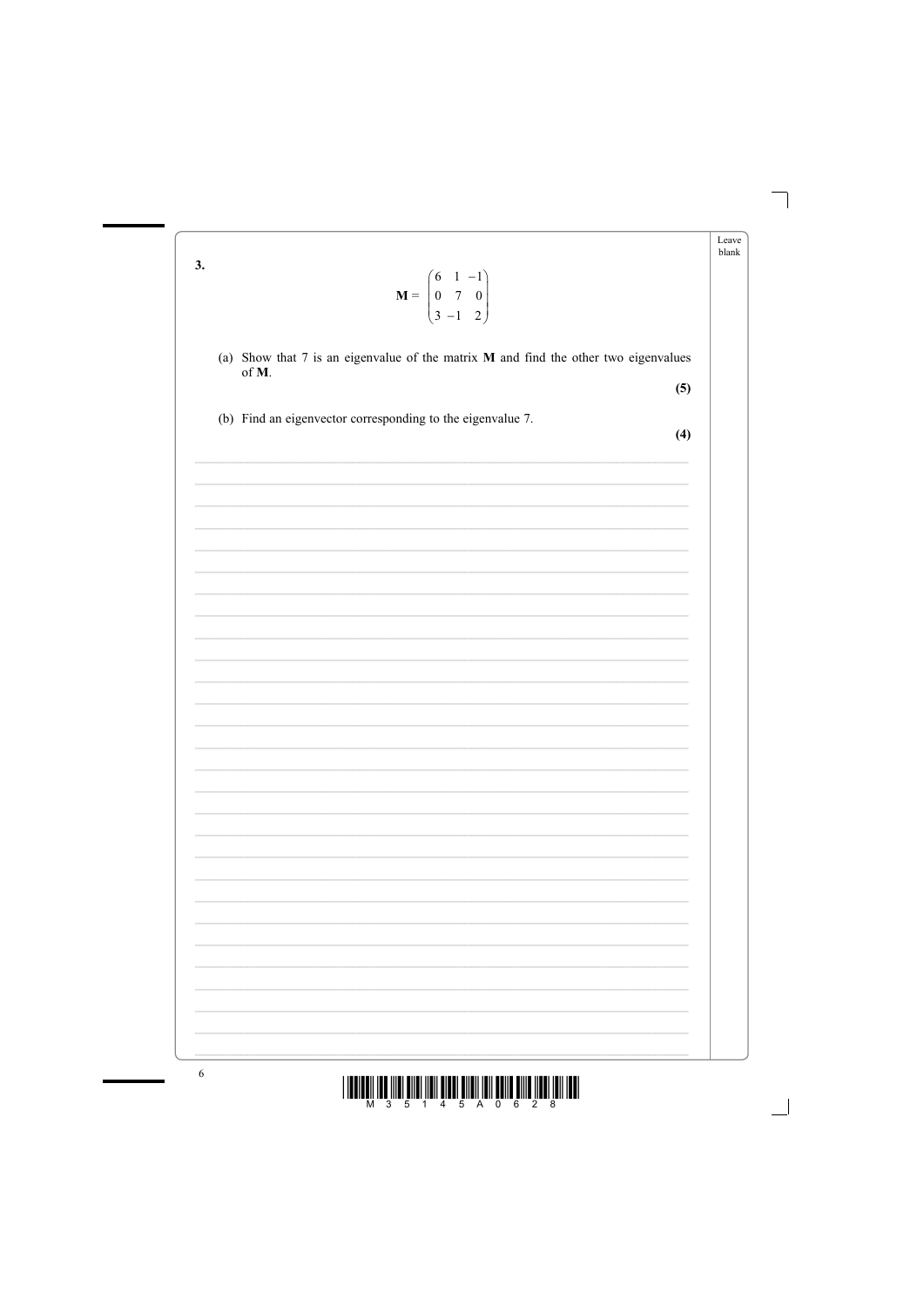| 3. | $\mathbf{M} = \begin{pmatrix} 6 & 1 & -1 \\ 0 & 7 & 0 \\ 3 & -1 & 2 \end{pmatrix}$               | blank |
|----|--------------------------------------------------------------------------------------------------|-------|
|    | (a) Show that $7$ is an eigenvalue of the matrix $M$ and find the other two eigenvalues<br>of M. |       |
|    | (5)                                                                                              |       |
|    | (b) Find an eigenvector corresponding to the eigenvalue 7.<br>(4)                                |       |
|    |                                                                                                  |       |
|    |                                                                                                  |       |
|    |                                                                                                  |       |
|    |                                                                                                  |       |
|    |                                                                                                  |       |
|    |                                                                                                  |       |
|    |                                                                                                  |       |
|    |                                                                                                  |       |
|    |                                                                                                  |       |
|    |                                                                                                  |       |
|    |                                                                                                  |       |
|    |                                                                                                  |       |
|    |                                                                                                  |       |
|    |                                                                                                  |       |
|    |                                                                                                  |       |
|    |                                                                                                  |       |
|    |                                                                                                  |       |
|    |                                                                                                  |       |
|    |                                                                                                  |       |
|    |                                                                                                  |       |

Leave

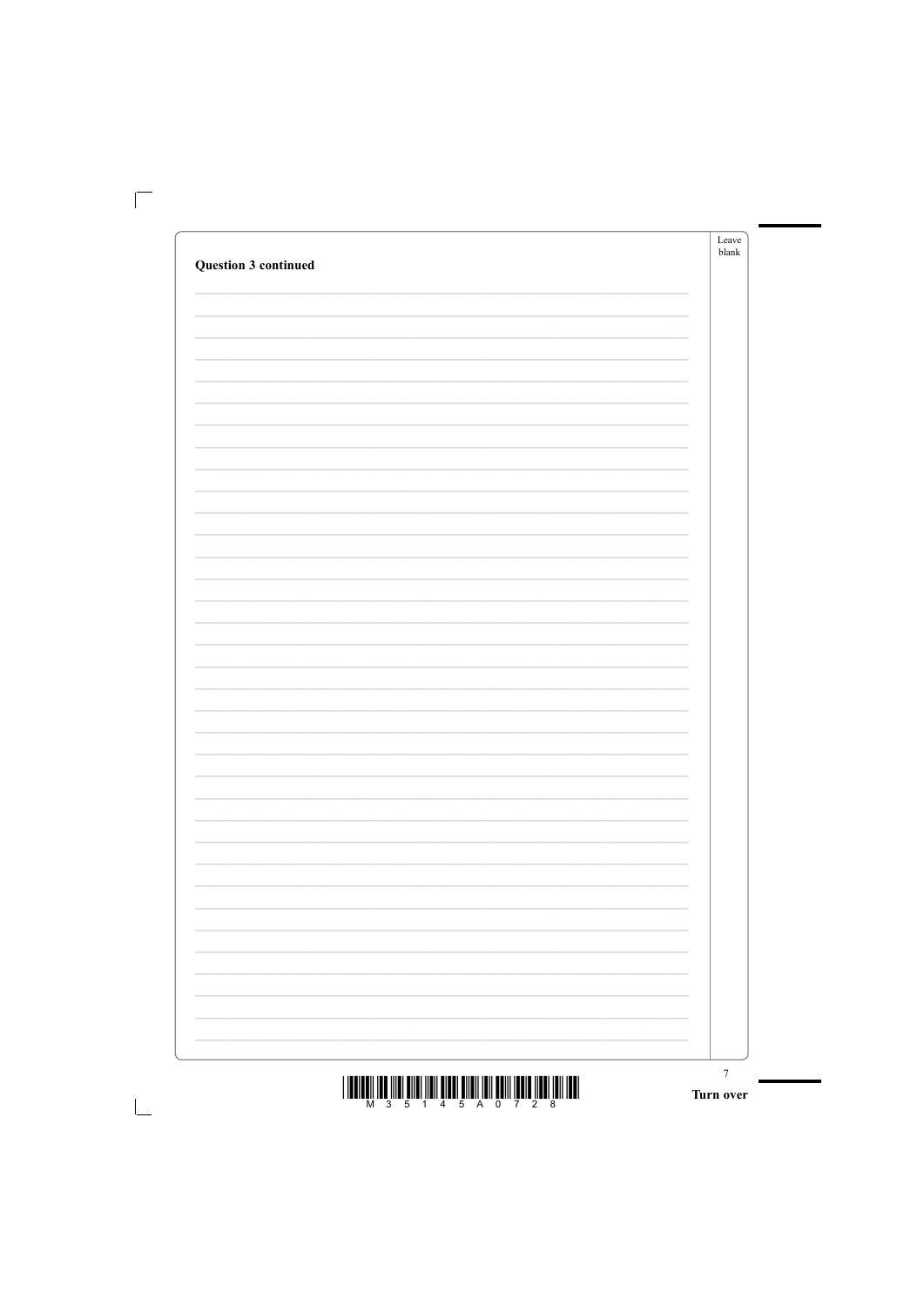|                                                                                                                                                                                                                                                                                                                                                                       | ${\it Leave}$<br>$b$ lank |
|-----------------------------------------------------------------------------------------------------------------------------------------------------------------------------------------------------------------------------------------------------------------------------------------------------------------------------------------------------------------------|---------------------------|
| <b>Question 3 continued</b>                                                                                                                                                                                                                                                                                                                                           |                           |
|                                                                                                                                                                                                                                                                                                                                                                       |                           |
|                                                                                                                                                                                                                                                                                                                                                                       |                           |
|                                                                                                                                                                                                                                                                                                                                                                       |                           |
|                                                                                                                                                                                                                                                                                                                                                                       |                           |
|                                                                                                                                                                                                                                                                                                                                                                       |                           |
|                                                                                                                                                                                                                                                                                                                                                                       |                           |
|                                                                                                                                                                                                                                                                                                                                                                       |                           |
|                                                                                                                                                                                                                                                                                                                                                                       |                           |
|                                                                                                                                                                                                                                                                                                                                                                       |                           |
|                                                                                                                                                                                                                                                                                                                                                                       |                           |
|                                                                                                                                                                                                                                                                                                                                                                       |                           |
|                                                                                                                                                                                                                                                                                                                                                                       |                           |
|                                                                                                                                                                                                                                                                                                                                                                       |                           |
|                                                                                                                                                                                                                                                                                                                                                                       |                           |
|                                                                                                                                                                                                                                                                                                                                                                       |                           |
|                                                                                                                                                                                                                                                                                                                                                                       |                           |
|                                                                                                                                                                                                                                                                                                                                                                       |                           |
|                                                                                                                                                                                                                                                                                                                                                                       |                           |
|                                                                                                                                                                                                                                                                                                                                                                       |                           |
|                                                                                                                                                                                                                                                                                                                                                                       |                           |
|                                                                                                                                                                                                                                                                                                                                                                       |                           |
|                                                                                                                                                                                                                                                                                                                                                                       |                           |
|                                                                                                                                                                                                                                                                                                                                                                       |                           |
|                                                                                                                                                                                                                                                                                                                                                                       |                           |
|                                                                                                                                                                                                                                                                                                                                                                       |                           |
|                                                                                                                                                                                                                                                                                                                                                                       |                           |
|                                                                                                                                                                                                                                                                                                                                                                       |                           |
|                                                                                                                                                                                                                                                                                                                                                                       |                           |
|                                                                                                                                                                                                                                                                                                                                                                       |                           |
|                                                                                                                                                                                                                                                                                                                                                                       |                           |
|                                                                                                                                                                                                                                                                                                                                                                       | $\sqrt{ }$                |
| $\textstyle \frac{1}{2} \left\  \left[ \prod_{i=1}^m \prod_{j=1}^m \prod_{j=1}^m \prod_{j=1}^m \prod_{j=1}^m \prod_{j=1}^m \prod_{j=1}^m \prod_{j=1}^m \prod_{j=1}^m \prod_{j=1}^m \prod_{j=1}^m \prod_{j=1}^m \prod_{j=1}^m \prod_{j=1}^m \prod_{j=1}^m \prod_{j=1}^m \prod_{j=1}^m \prod_{j=1}^m \prod_{j=1}^m \prod_{j=1}^m \prod_{j=1}^m \prod_{j=1}^m \prod_{j=$ | Turn over                 |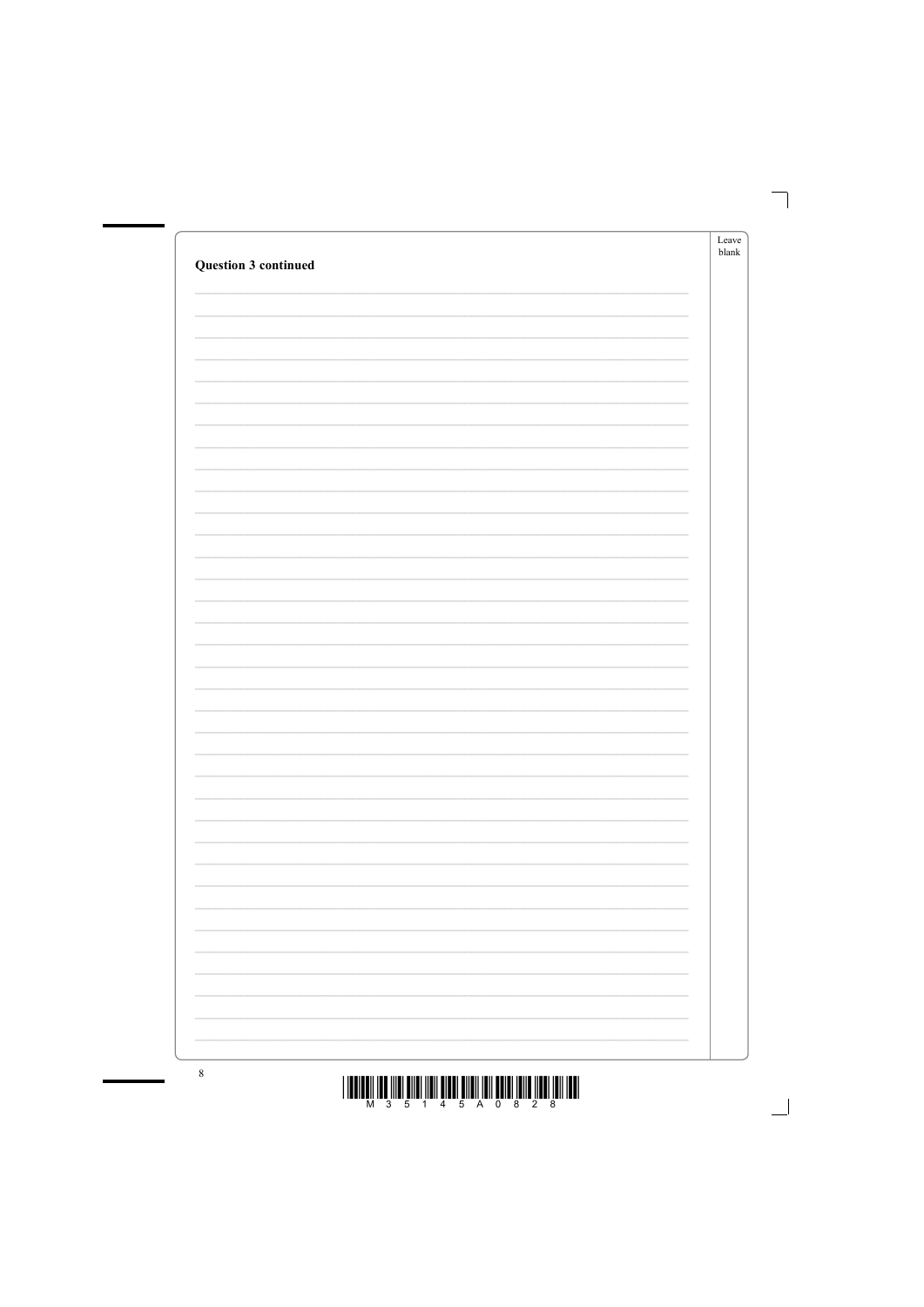|                             | Leave         |
|-----------------------------|---------------|
|                             | ${\sf blank}$ |
| <b>Question 3 continued</b> |               |
|                             |               |
|                             |               |
|                             |               |
|                             |               |
|                             |               |
|                             |               |
|                             |               |
|                             |               |
|                             |               |
|                             |               |
|                             |               |
|                             |               |
|                             |               |
|                             |               |
|                             |               |
|                             |               |
|                             |               |
|                             |               |
|                             |               |
|                             |               |
|                             |               |
|                             |               |
|                             |               |
|                             |               |
|                             |               |
|                             |               |
|                             |               |
|                             |               |
|                             |               |
|                             |               |
|                             |               |
|                             |               |
|                             |               |
|                             |               |
|                             |               |
|                             |               |
|                             |               |
|                             |               |
|                             |               |
|                             |               |
|                             |               |
|                             |               |
|                             |               |
|                             |               |
|                             |               |
|                             |               |
|                             |               |
|                             |               |
|                             |               |
|                             |               |
|                             |               |
|                             |               |
|                             |               |
|                             |               |
|                             |               |
|                             |               |
|                             |               |
|                             |               |
|                             |               |
|                             |               |
|                             |               |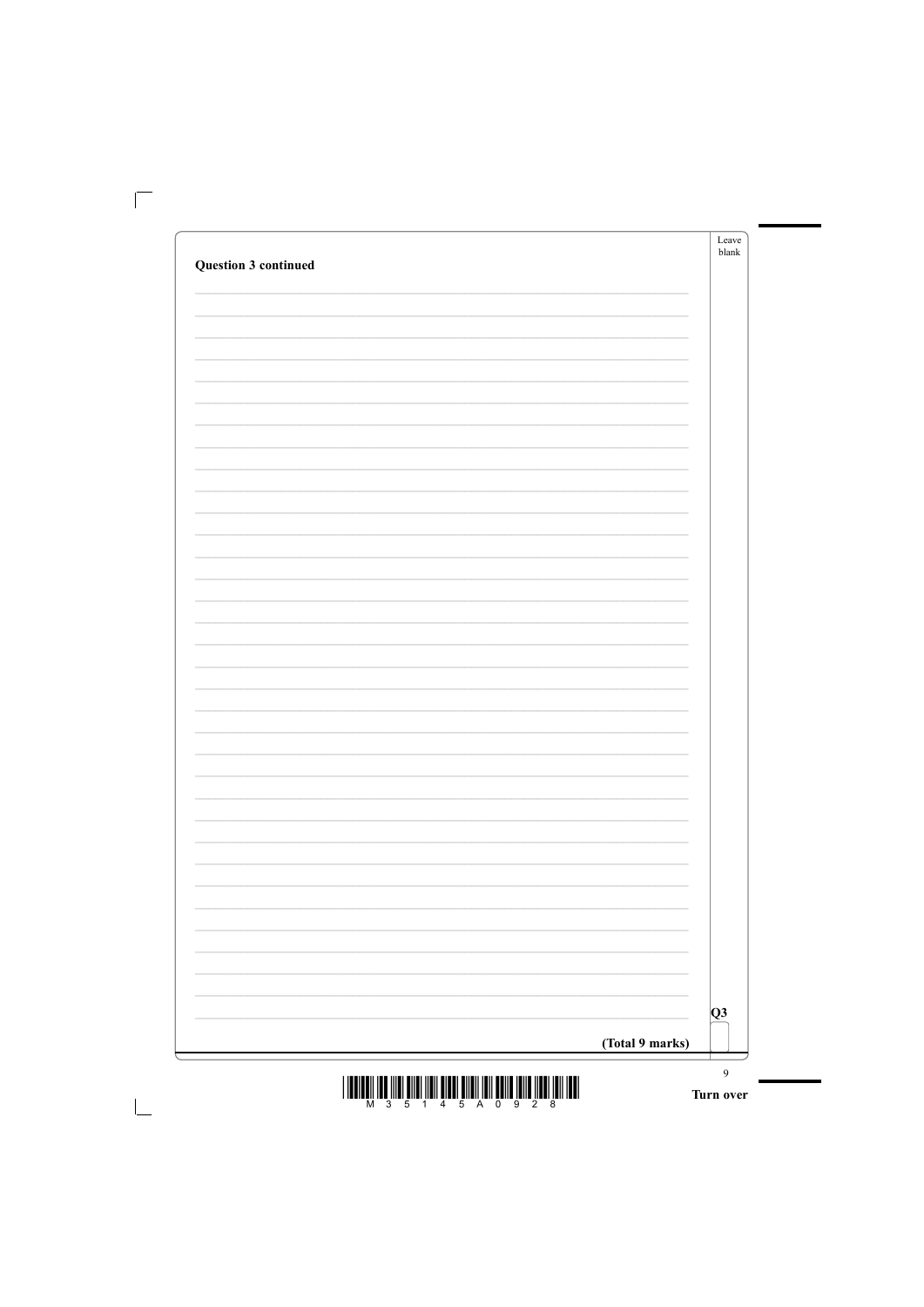| <b>Question 3 continued</b> |                 | Leave<br>blank |
|-----------------------------|-----------------|----------------|
|                             |                 |                |
|                             |                 |                |
|                             |                 |                |
|                             |                 |                |
|                             |                 |                |
|                             |                 |                |
|                             |                 |                |
|                             |                 |                |
|                             |                 |                |
|                             |                 |                |
|                             |                 |                |
|                             |                 |                |
|                             |                 |                |
|                             |                 |                |
|                             |                 |                |
|                             |                 |                |
|                             |                 |                |
|                             |                 |                |
|                             |                 |                |
|                             |                 |                |
|                             |                 |                |
|                             |                 |                |
|                             |                 |                |
|                             |                 |                |
|                             |                 |                |
|                             |                 | Q3             |
|                             | (Total 9 marks) |                |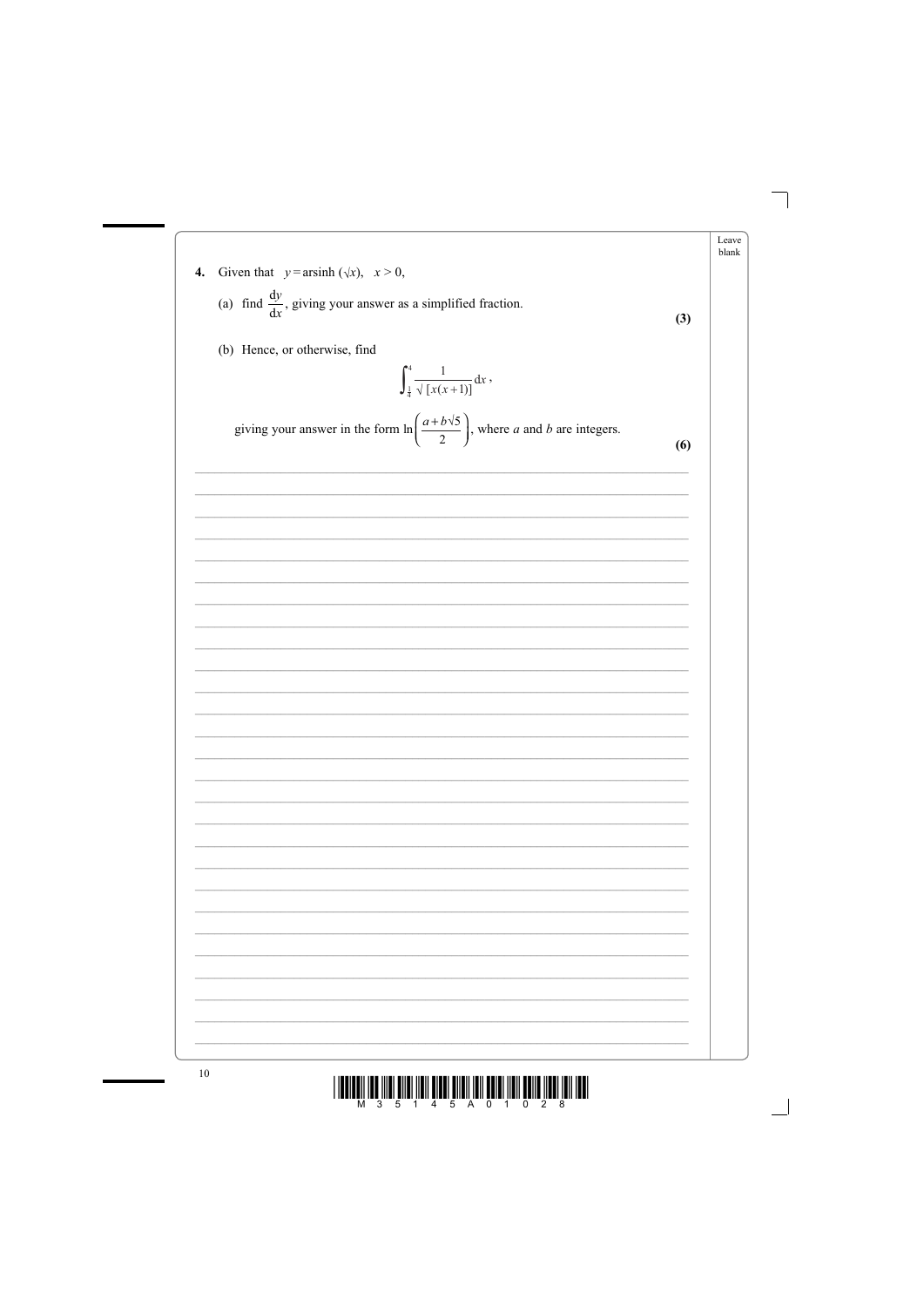

Leave blank

<u>||BEIBUN IBB (IIBI BIRBI İIBIN BIRBI) BIRIN BEIBI İIBIN BEINB İIBBI İBBI IBBI</u>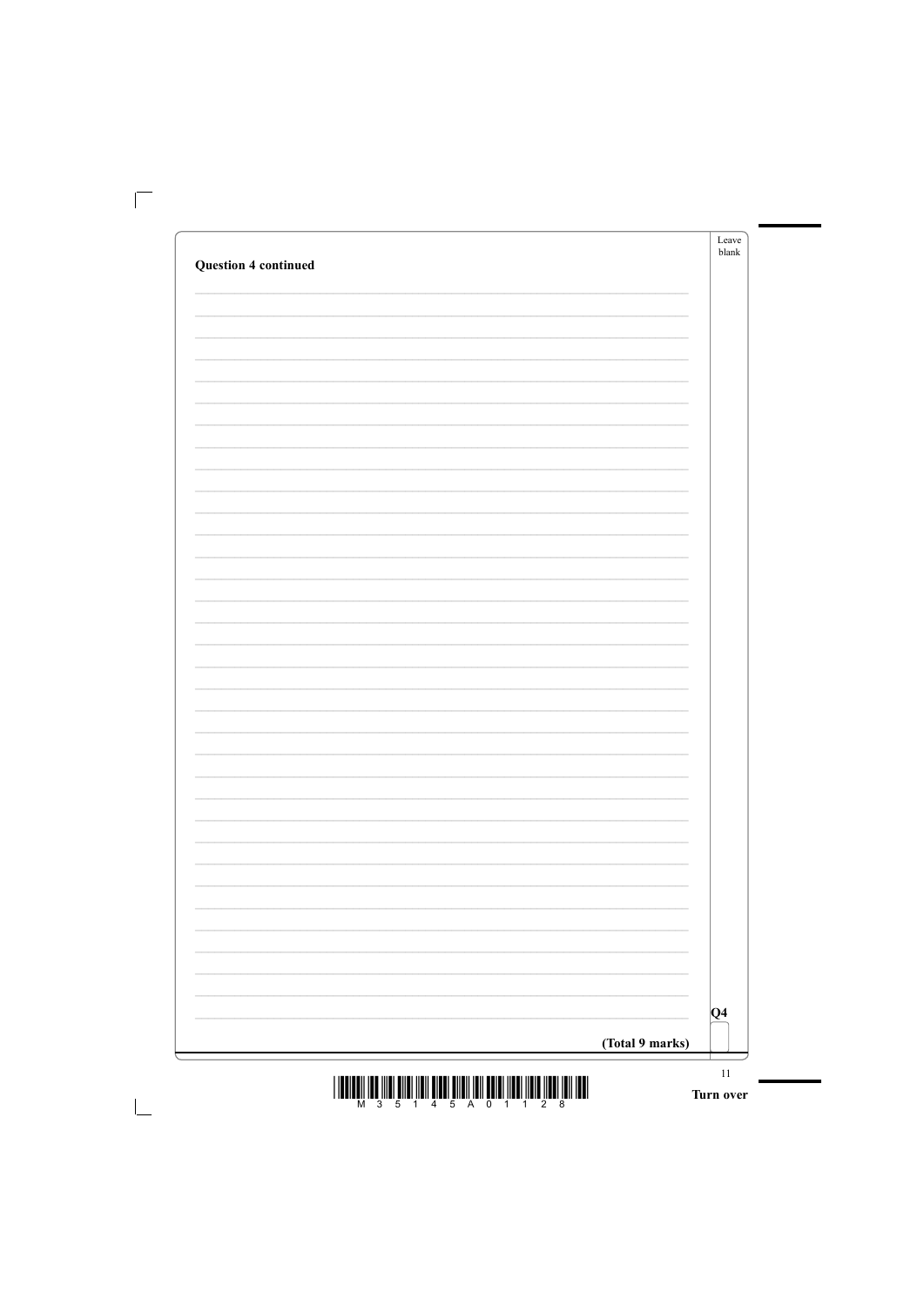| <b>Question 4 continued</b> |                 |
|-----------------------------|-----------------|
|                             |                 |
|                             |                 |
|                             |                 |
|                             |                 |
|                             |                 |
|                             |                 |
|                             |                 |
|                             |                 |
|                             |                 |
|                             |                 |
|                             |                 |
|                             |                 |
|                             |                 |
|                             |                 |
|                             |                 |
|                             |                 |
|                             |                 |
|                             |                 |
|                             |                 |
|                             |                 |
|                             |                 |
|                             |                 |
|                             |                 |
|                             |                 |
|                             | $ Q_4 $         |
|                             | (Total 9 marks) |

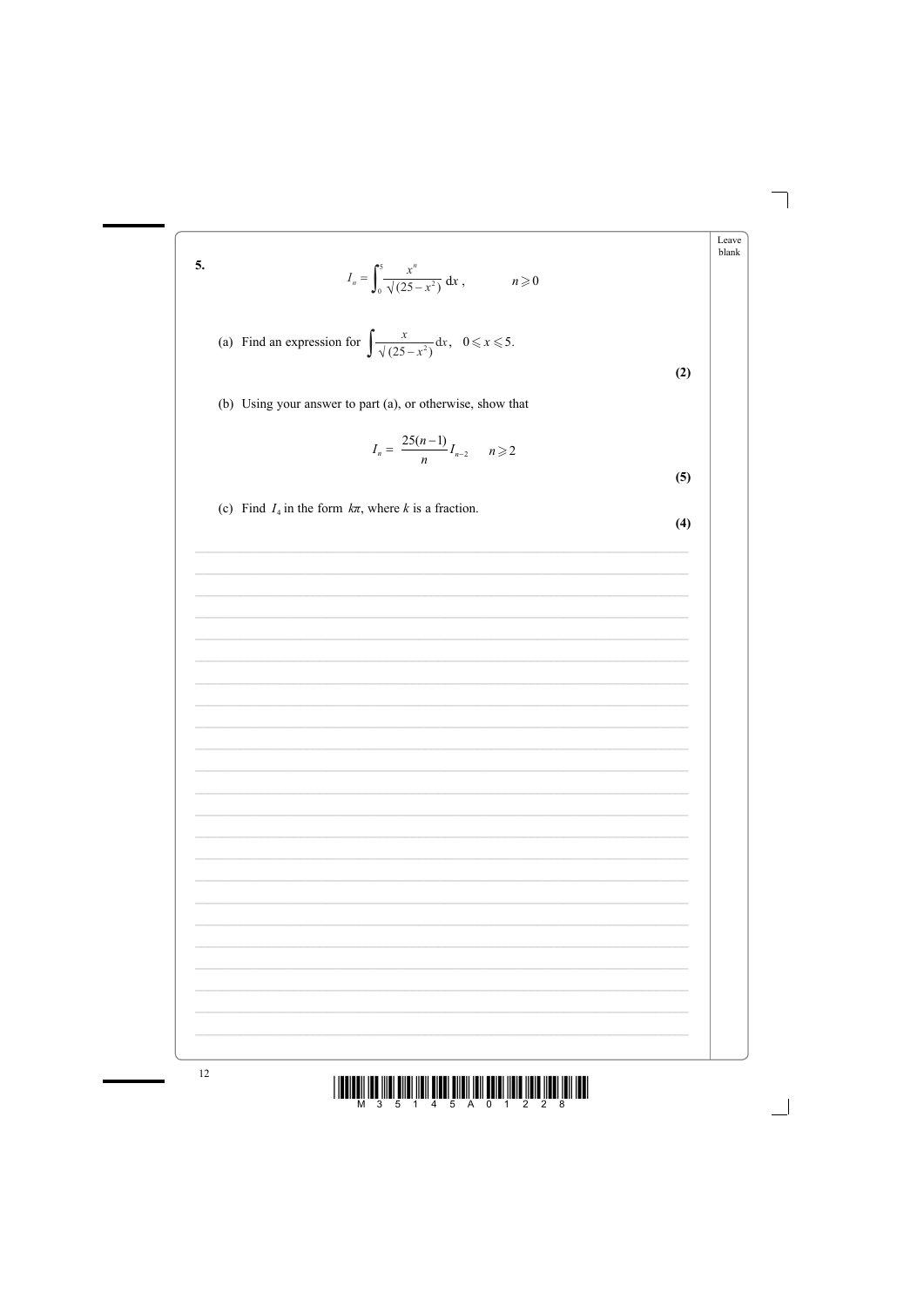5. 
$$
I_n = \int_0^5 \frac{x^n}{\sqrt{(25 - x^2)}} dx, \qquad n \ge 0
$$
  
\n(a) Find an expression for  $\int \frac{x}{\sqrt{(25 - x^2)}} dx, \quad 0 \le x \le 5$ .  
\n(b) Using your answer to part (a), or otherwise, show that  
\n
$$
I_n = \frac{25(n-1)}{n} I_{n-2} \qquad n \ge 2
$$
\n(c) Find  $I_4$  in the form  $k\pi$ , where k is a fraction.  
\n(4)

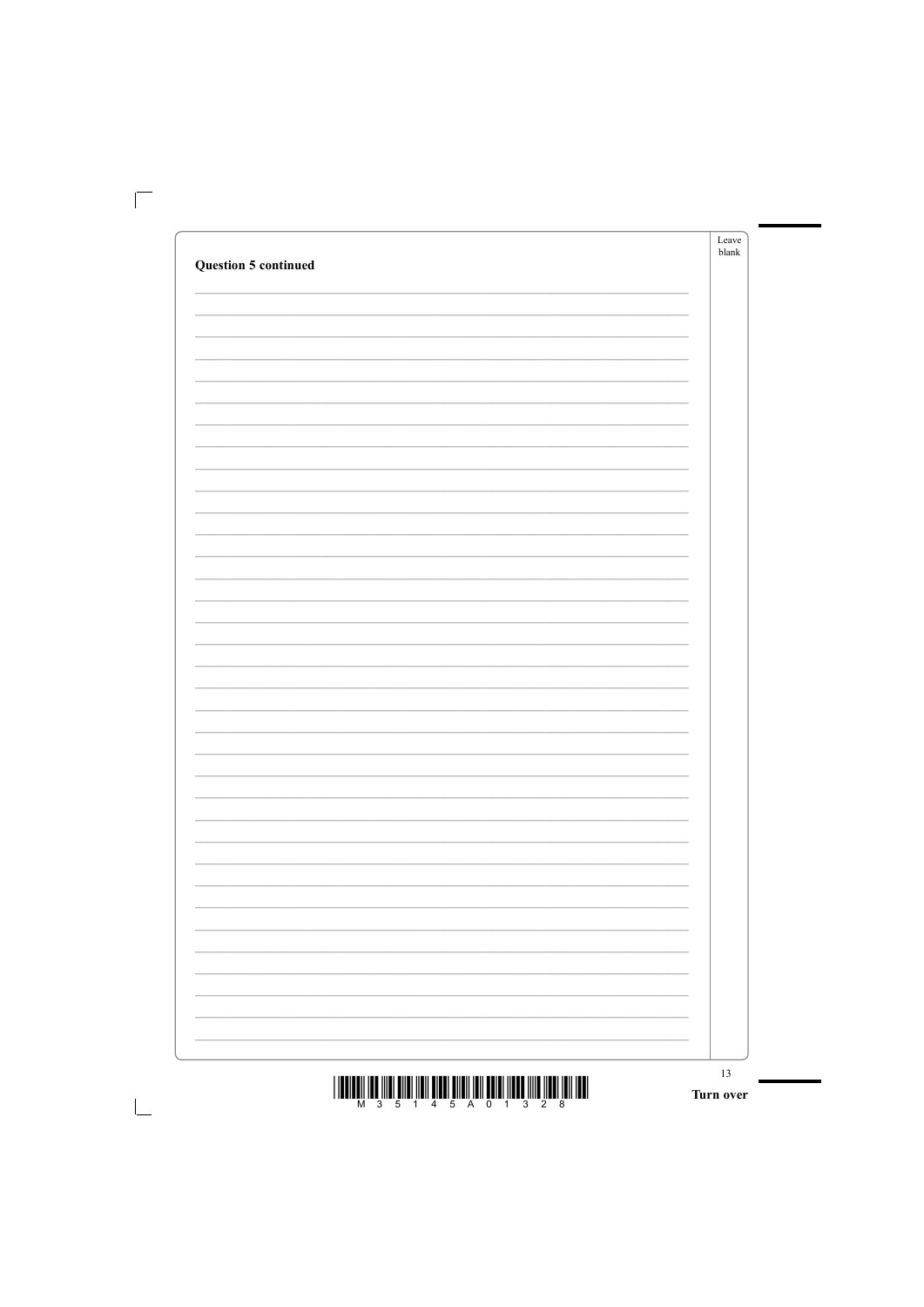| <b>Question 5 continued</b> | Leave<br>blank |
|-----------------------------|----------------|
|                             |                |
|                             |                |
|                             |                |
|                             |                |
|                             |                |
|                             |                |
|                             |                |
|                             |                |
|                             |                |
|                             |                |
|                             |                |
|                             |                |
|                             |                |
|                             |                |
|                             |                |
|                             |                |
|                             |                |
|                             |                |
|                             |                |
|                             |                |
|                             |                |
|                             |                |
|                             |                |
|                             |                |
|                             |                |
|                             |                |
|                             |                |
|                             |                |
|                             |                |
|                             |                |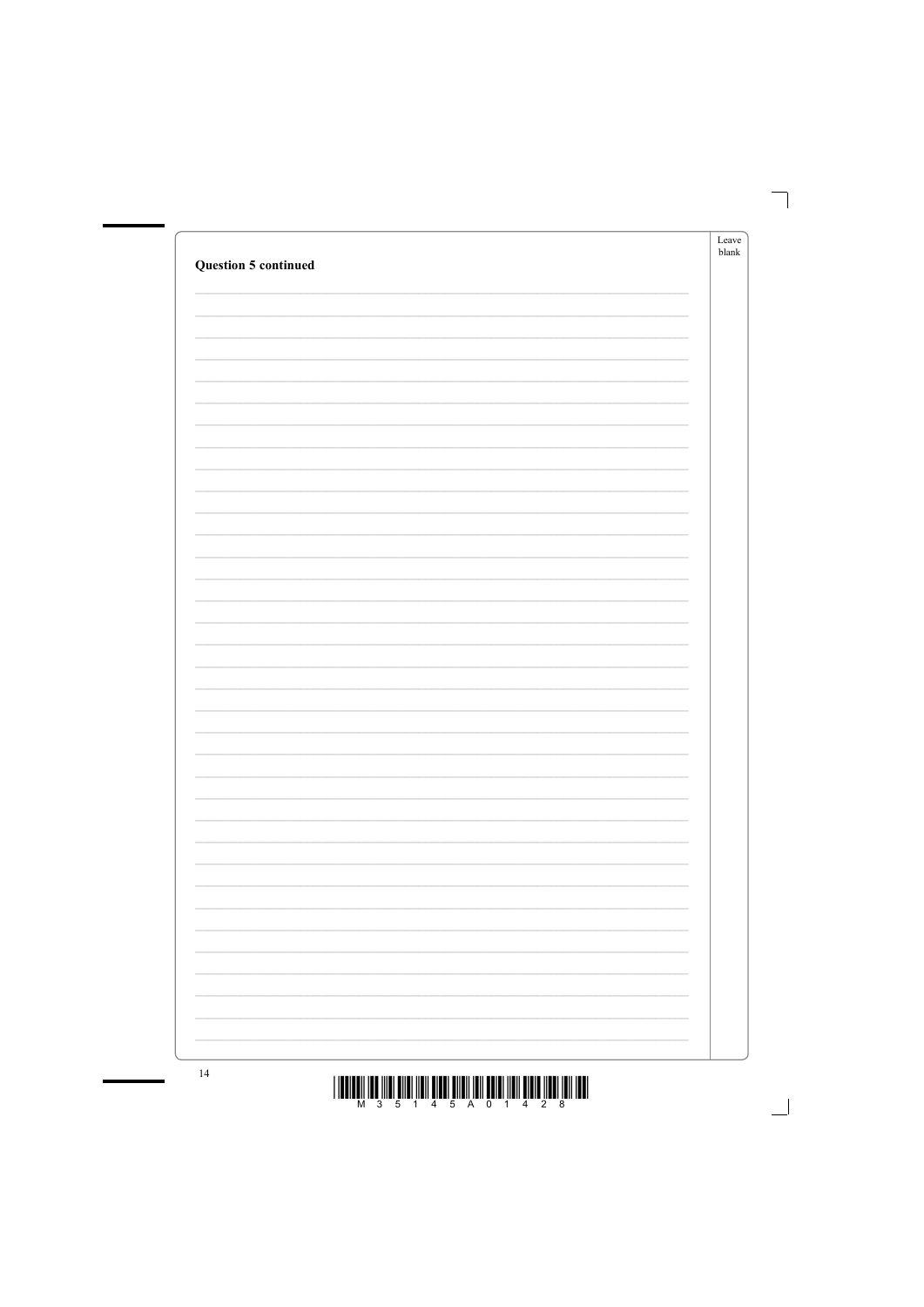| <b>Question 5 continued</b> | Leave<br>${\sf blank}$ |
|-----------------------------|------------------------|
|                             |                        |
|                             |                        |
|                             |                        |
|                             |                        |
|                             |                        |
|                             |                        |
|                             |                        |
|                             |                        |
|                             |                        |
|                             |                        |
|                             |                        |
|                             |                        |
|                             |                        |
|                             |                        |
|                             |                        |
|                             |                        |
|                             |                        |
|                             |                        |
|                             |                        |
|                             |                        |
|                             |                        |
|                             |                        |
|                             |                        |
|                             |                        |
|                             |                        |
|                             |                        |
|                             |                        |
|                             |                        |
|                             |                        |
| 1 <sub>A</sub>              |                        |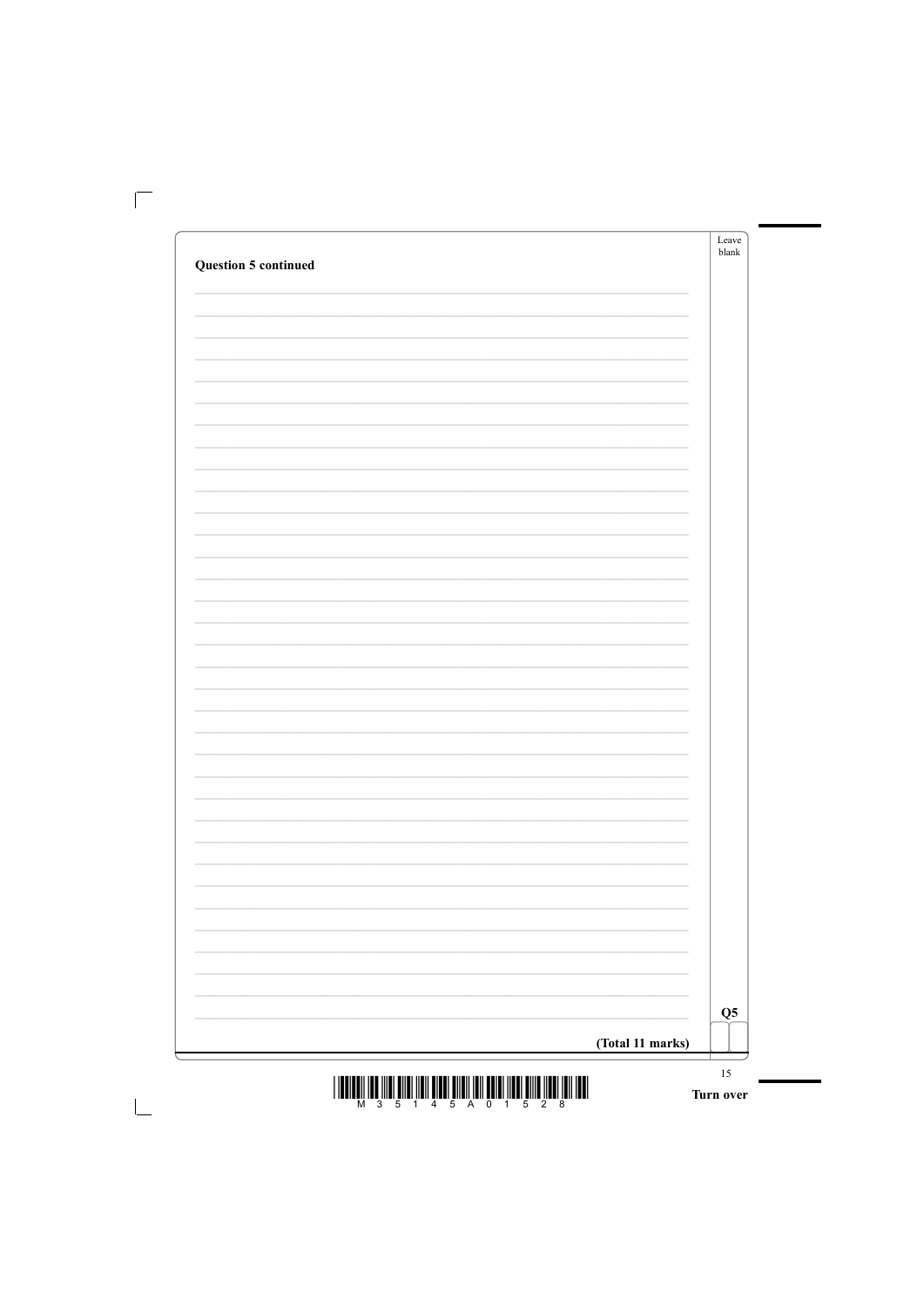| <b>Question 5 continued</b> | Leave<br>blank            |
|-----------------------------|---------------------------|
|                             |                           |
|                             |                           |
|                             |                           |
|                             |                           |
|                             |                           |
|                             |                           |
|                             |                           |
|                             |                           |
|                             |                           |
|                             |                           |
|                             |                           |
|                             |                           |
|                             |                           |
|                             |                           |
|                             |                           |
|                             |                           |
|                             |                           |
|                             |                           |
|                             | $\overline{\mathbf{Q}}$ 5 |
|                             | (Total 11 marks)          |
|                             | 15                        |



t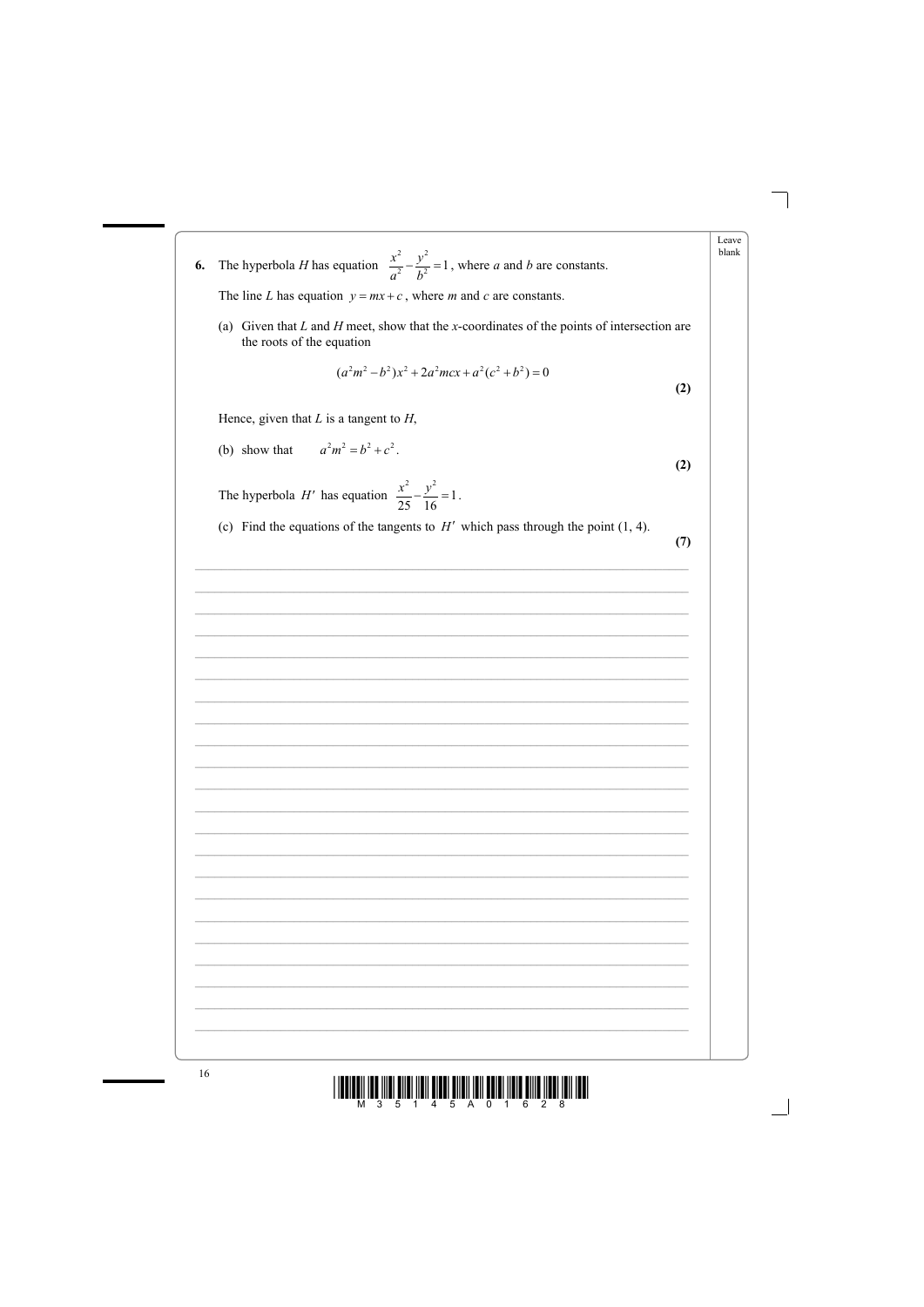Leave blank The hyperbola *H* has equation  $\frac{x^2}{a^2} - \frac{y^2}{b^2} = 1$ , where *a* and *b* are constants. 6. The line L has equation  $y = mx + c$ , where m and c are constants. (a) Given that  $L$  and  $H$  meet, show that the x-coordinates of the points of intersection are the roots of the equation  $(a^{2}m^{2}-b^{2})x^{2}+2a^{2}mcx+a^{2}(c^{2}+b^{2})=0$  $(2)$ Hence, given that  $L$  is a tangent to  $H$ ,  $a^2m^2 = b^2 + c^2$ (b) show that  $(2)$ The hyperbola H' has equation  $\frac{x^2}{25} - \frac{y^2}{16} = 1$ . (c) Find the equations of the tangents to  $H'$  which pass through the point (1, 4).  $(7)$ 

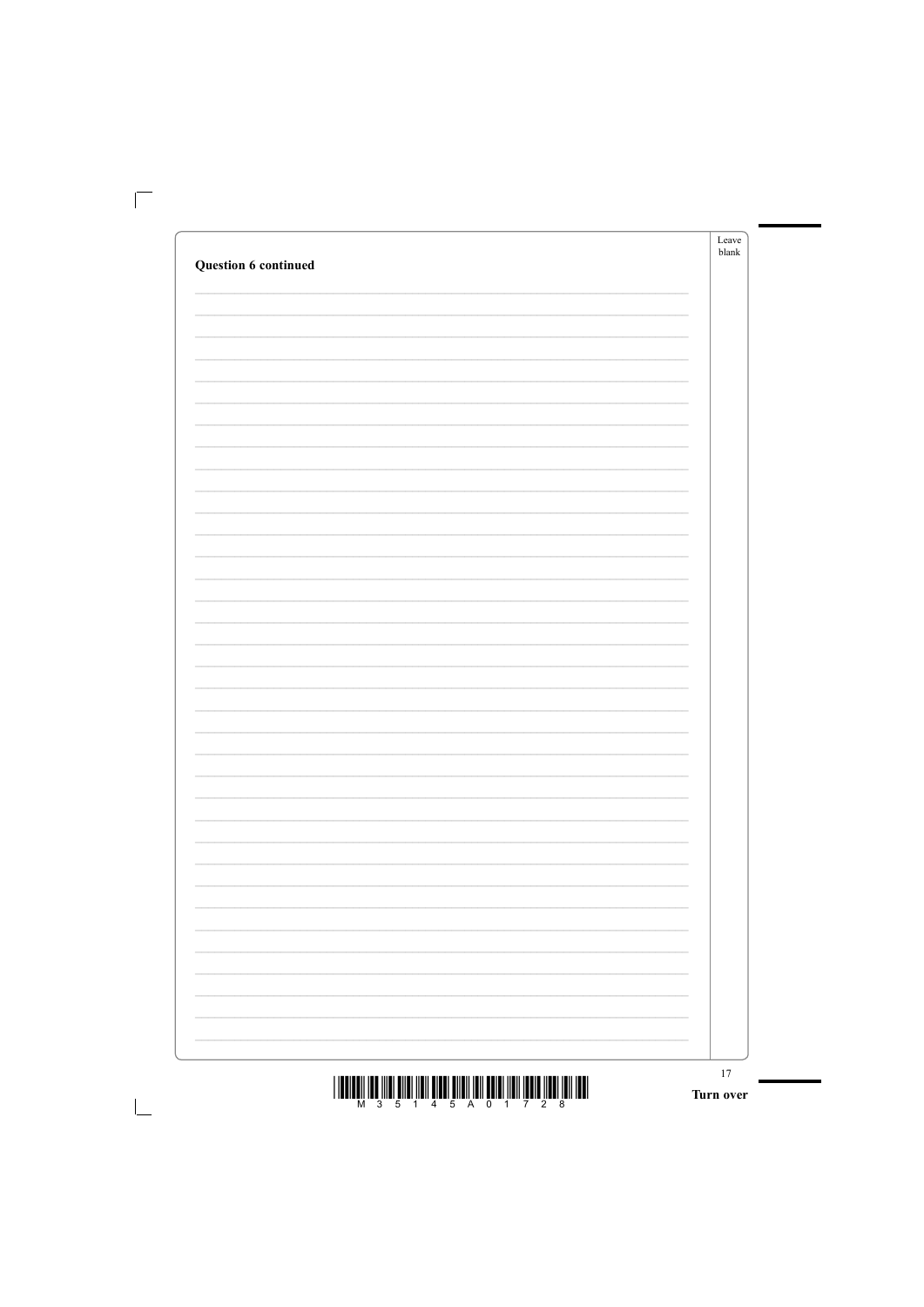|                      | 17<br>Turn over   |
|----------------------|-------------------|
|                      |                   |
|                      |                   |
|                      |                   |
|                      |                   |
|                      |                   |
|                      |                   |
|                      |                   |
|                      |                   |
|                      |                   |
|                      |                   |
|                      |                   |
|                      |                   |
|                      |                   |
|                      |                   |
|                      |                   |
|                      |                   |
|                      |                   |
|                      |                   |
|                      |                   |
|                      |                   |
|                      |                   |
| Question 6 continued |                   |
|                      | Leave<br>$b$ lank |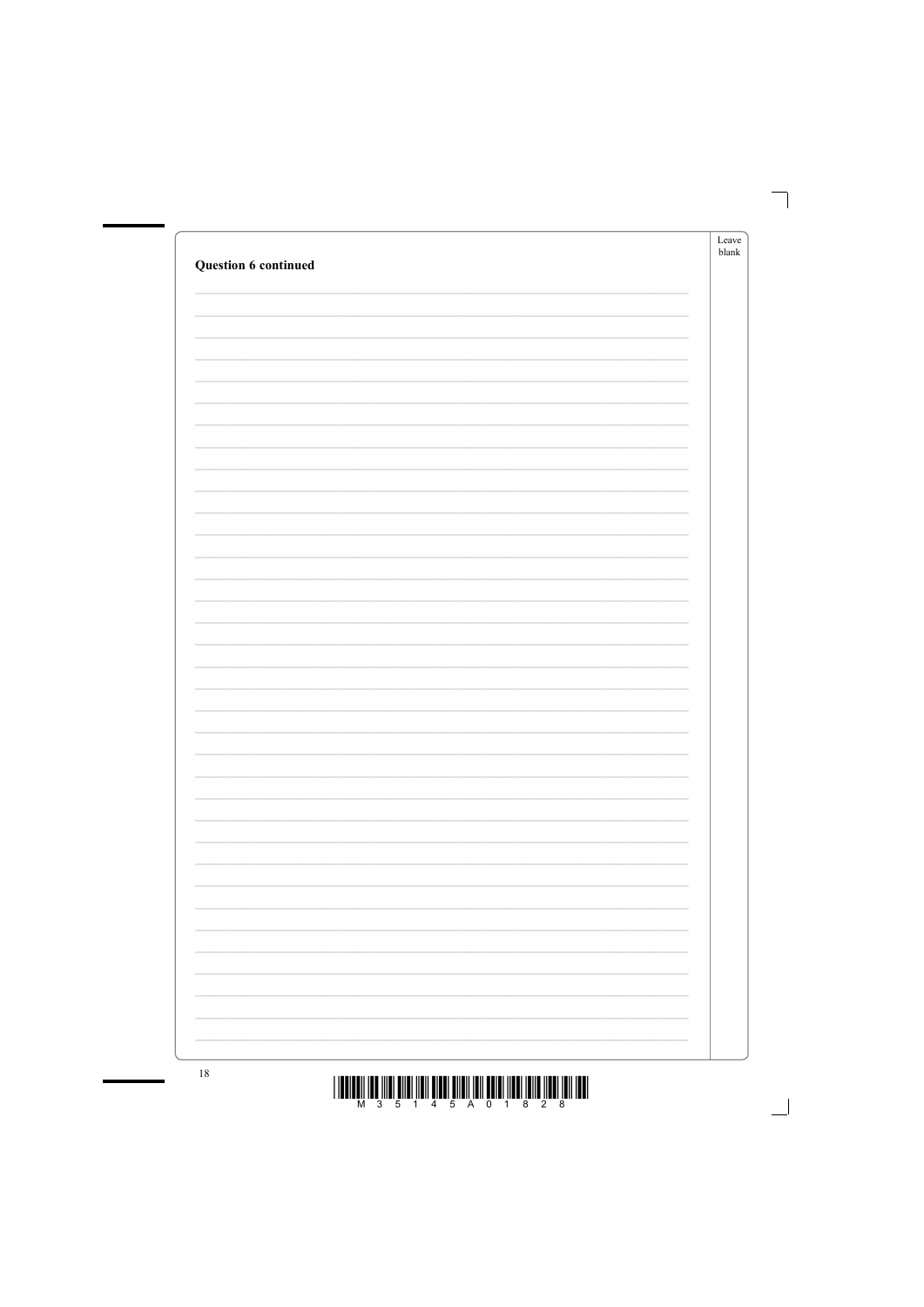|                             | Leave<br>${\sf blank}$ |
|-----------------------------|------------------------|
| <b>Question 6 continued</b> |                        |
|                             |                        |
|                             |                        |
|                             |                        |
|                             |                        |
|                             |                        |
|                             |                        |
|                             |                        |
|                             |                        |
|                             |                        |
|                             |                        |
|                             |                        |
|                             |                        |
|                             |                        |
|                             |                        |
|                             |                        |
|                             |                        |
|                             |                        |
|                             |                        |
|                             |                        |
|                             |                        |
|                             |                        |
|                             |                        |
|                             |                        |
|                             |                        |
|                             |                        |
|                             |                        |
|                             |                        |
|                             |                        |
|                             |                        |
|                             |                        |
|                             |                        |
|                             |                        |
|                             |                        |
|                             |                        |
| 18                          |                        |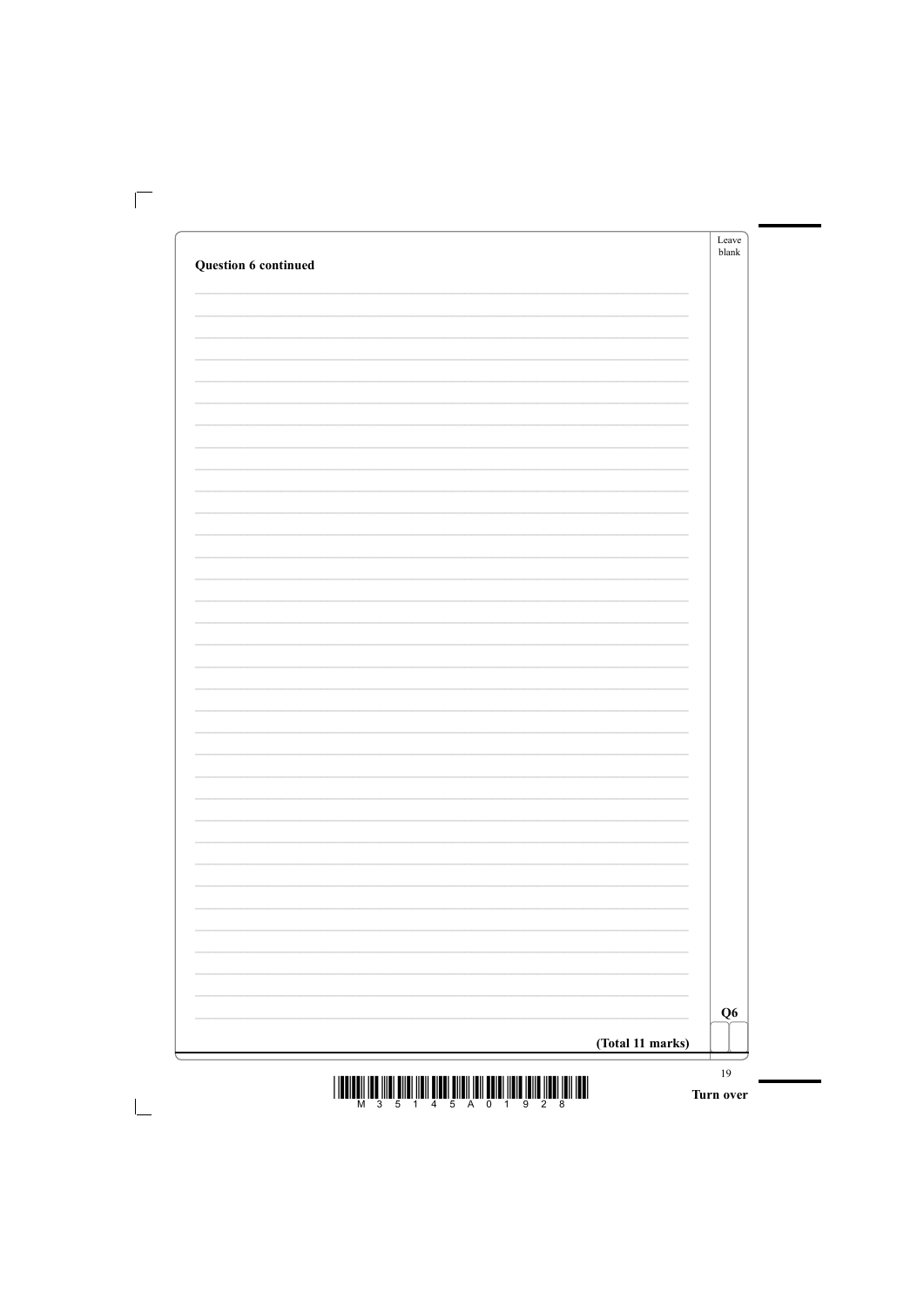| <b>Question 6 continued</b> | Leave<br>blank |  |
|-----------------------------|----------------|--|
|                             |                |  |
|                             |                |  |
|                             |                |  |
|                             |                |  |
|                             |                |  |
|                             |                |  |
|                             |                |  |
|                             |                |  |
|                             |                |  |
|                             |                |  |
|                             |                |  |
|                             |                |  |
|                             |                |  |
|                             |                |  |
|                             |                |  |
|                             |                |  |
|                             |                |  |
|                             |                |  |
|                             | Q <sub>6</sub> |  |
| (Total 11 marks)            |                |  |



t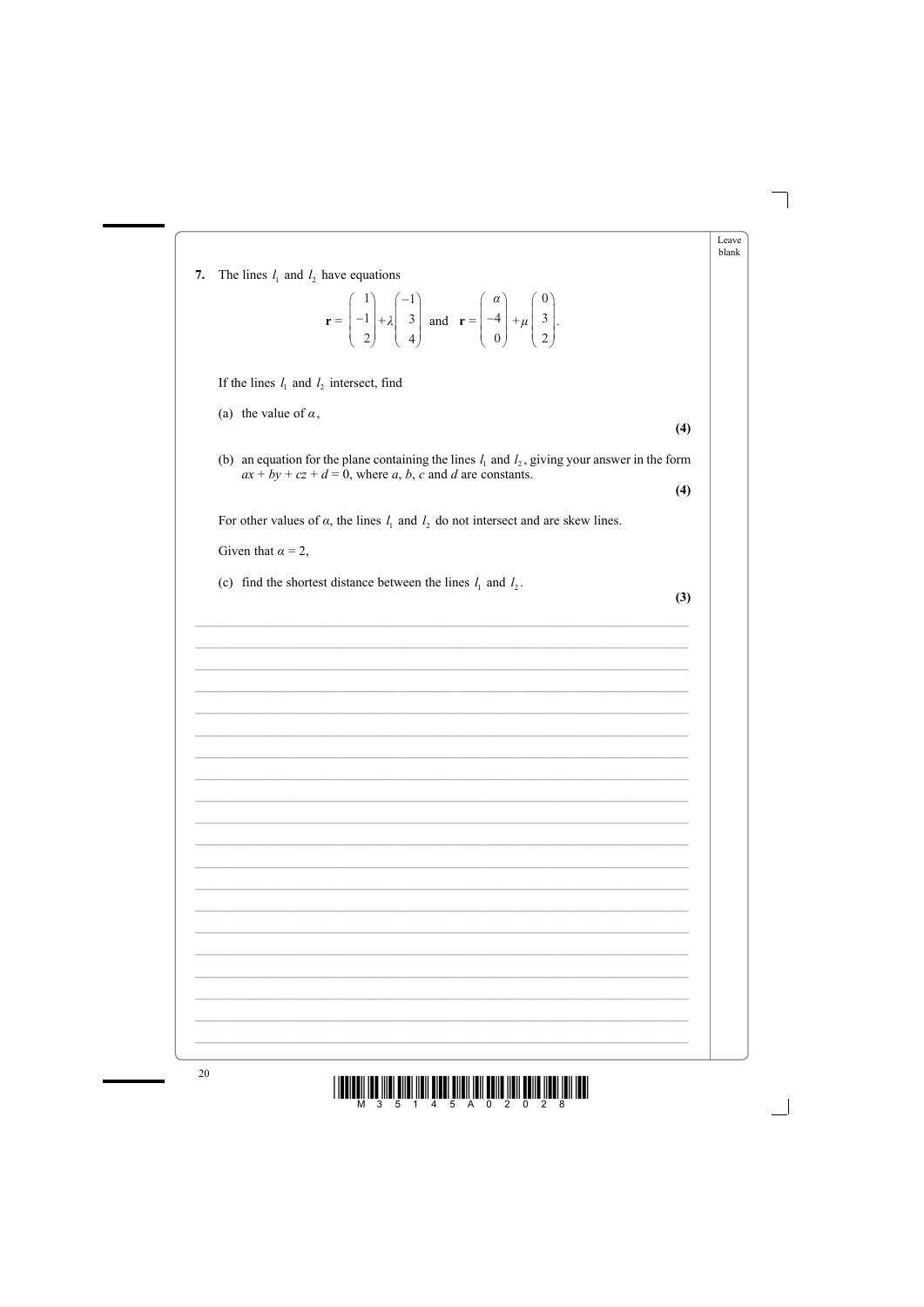Leave blank

7. The lines  $l_1$  and  $l_2$  have equations

$$
\mathbf{r} = \begin{pmatrix} 1 \\ -1 \\ 2 \end{pmatrix} + \lambda \begin{pmatrix} -1 \\ 3 \\ 4 \end{pmatrix} \text{ and } \mathbf{r} = \begin{pmatrix} \alpha \\ -4 \\ 0 \end{pmatrix} + \mu \begin{pmatrix} 0 \\ 3 \\ 2 \end{pmatrix}.
$$

If the lines  $l_1$  and  $l_2$  intersect, find

(a) the value of  $\alpha$ ,

(b) an equation for the plane containing the lines  $l_1$  and  $l_2$ , giving your answer in the form  $ax + by + cz + d = 0$ , where a, b, c and d are constants.

For other values of  $\alpha$ , the lines  $l_1$  and  $l_2$  do not intersect and are skew lines.

Given that  $\alpha = 2$ ,

(c) find the shortest distance between the lines  $l_1$  and  $l_2$ .

 $(3)$ 

 $(4)$ 

 $(4)$ 

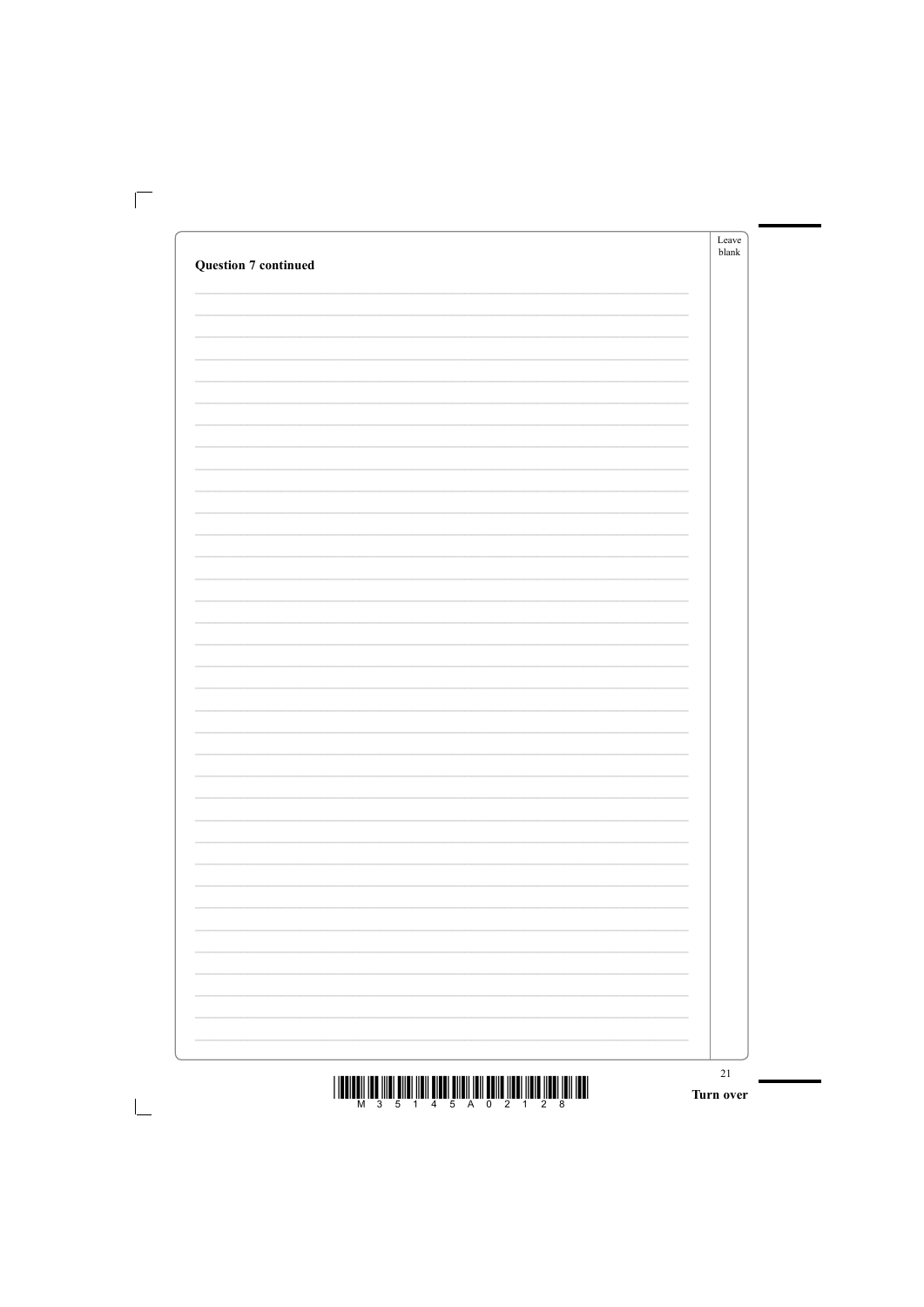|                                                                                   | Leave<br>blank |
|-----------------------------------------------------------------------------------|----------------|
| <b>Question 7 continued</b>                                                       |                |
|                                                                                   |                |
|                                                                                   |                |
|                                                                                   |                |
|                                                                                   |                |
|                                                                                   |                |
|                                                                                   |                |
|                                                                                   |                |
|                                                                                   |                |
|                                                                                   |                |
|                                                                                   |                |
|                                                                                   |                |
|                                                                                   |                |
|                                                                                   |                |
|                                                                                   |                |
|                                                                                   |                |
|                                                                                   |                |
|                                                                                   |                |
|                                                                                   |                |
|                                                                                   |                |
|                                                                                   |                |
|                                                                                   |                |
|                                                                                   |                |
|                                                                                   |                |
|                                                                                   |                |
|                                                                                   |                |
|                                                                                   |                |
|                                                                                   |                |
|                                                                                   |                |
|                                                                                   |                |
|                                                                                   |                |
| T THE TIME THE TITLE WITH TIME AND A TIME THAT THE TIME TIME TIME TIME THAT THE T | $21\,$         |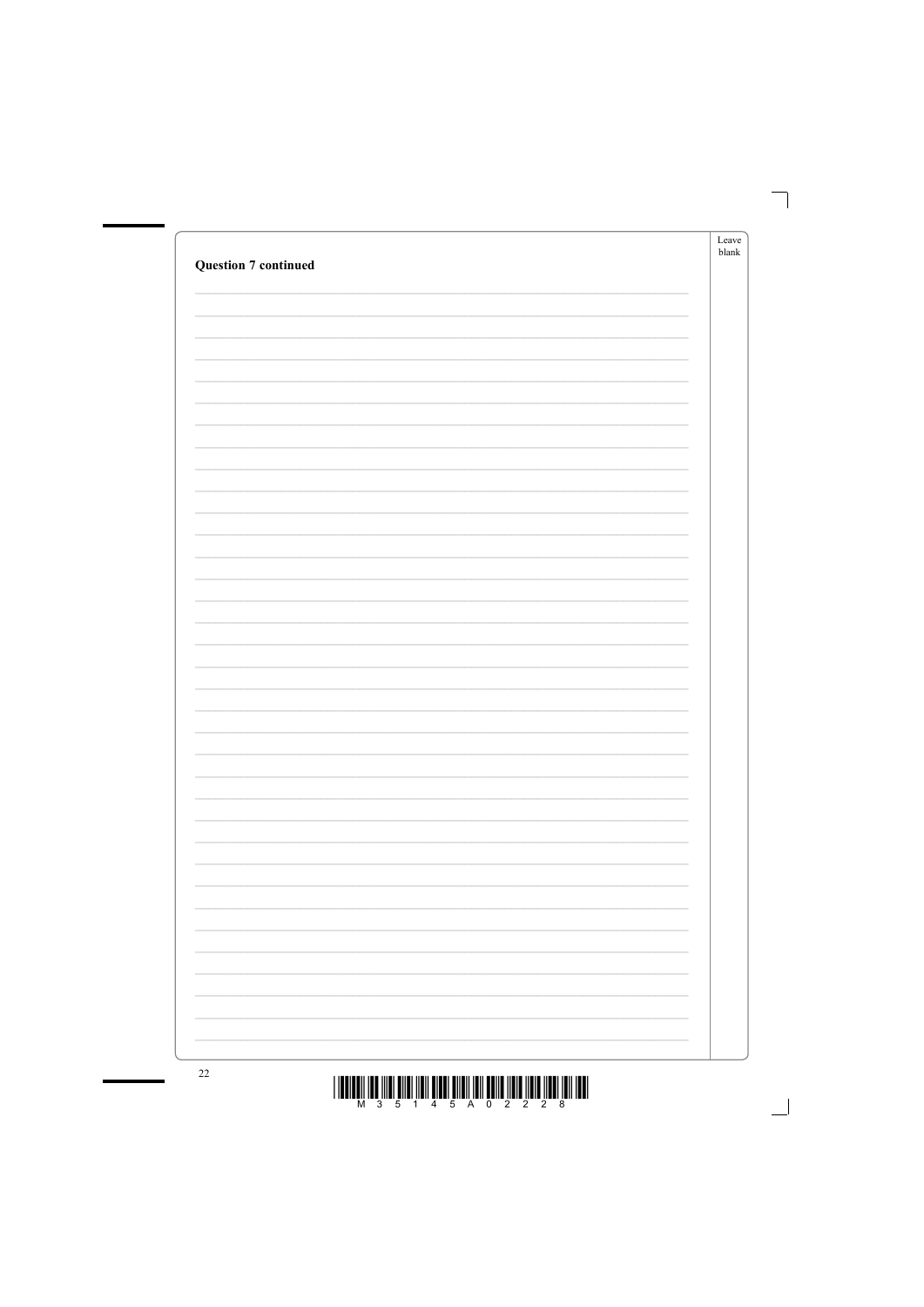| <b>Question 7 continued</b> | ${\rm Leave}$<br>$\ensuremath{\textrm{blank}}$ |
|-----------------------------|------------------------------------------------|
|                             |                                                |
|                             |                                                |
|                             |                                                |
|                             |                                                |
|                             |                                                |
|                             |                                                |
|                             |                                                |
|                             |                                                |
|                             |                                                |
|                             |                                                |
|                             |                                                |
|                             |                                                |
|                             |                                                |
|                             |                                                |
|                             |                                                |
|                             |                                                |
|                             |                                                |
|                             |                                                |
|                             |                                                |
|                             |                                                |
|                             |                                                |
|                             |                                                |
|                             |                                                |
|                             |                                                |
|                             |                                                |
|                             |                                                |
| $\sim$                      |                                                |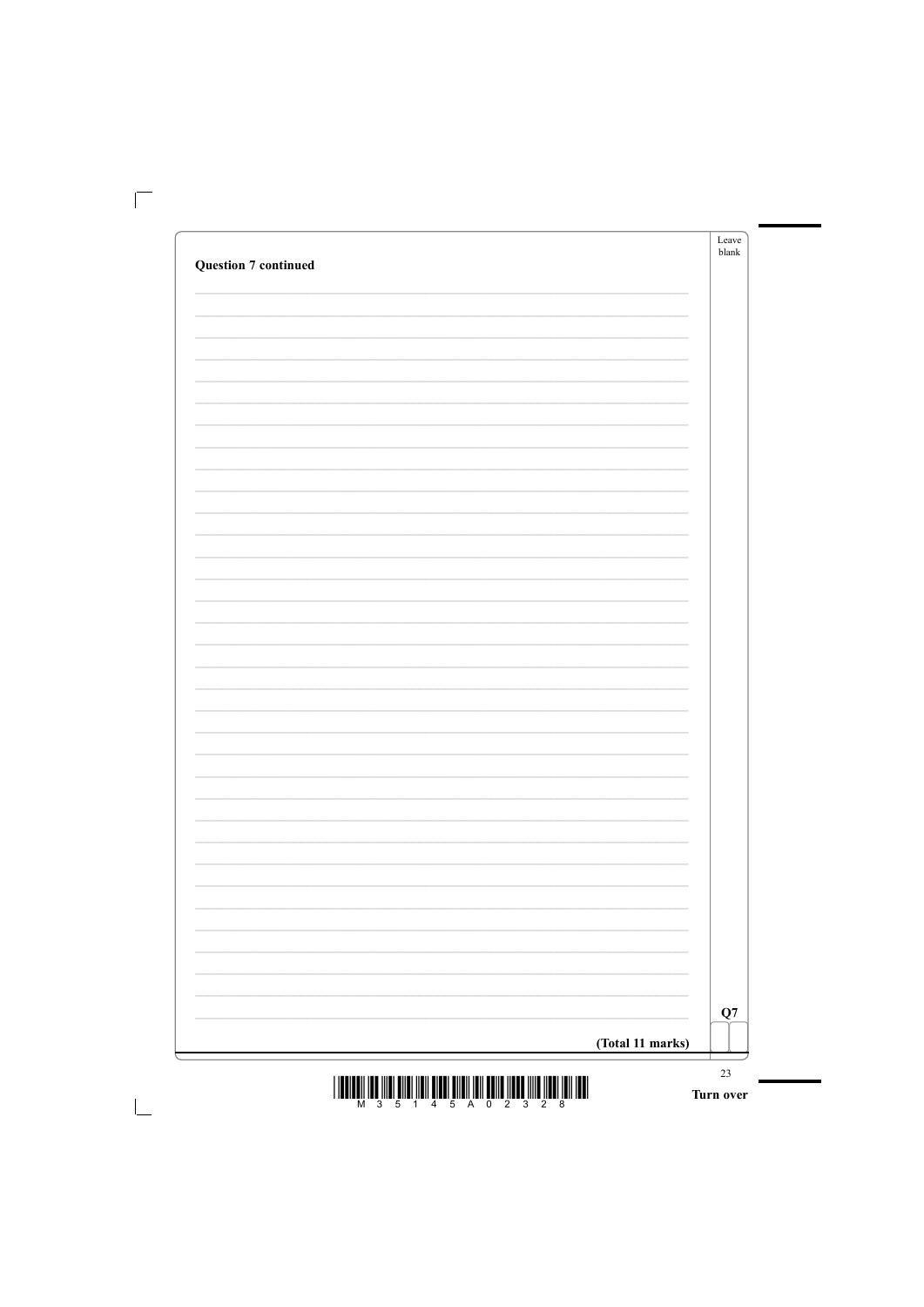|                  | blank |
|------------------|-------|
|                  |       |
|                  |       |
|                  |       |
|                  |       |
|                  |       |
|                  |       |
|                  |       |
|                  |       |
|                  |       |
|                  |       |
|                  |       |
|                  |       |
|                  |       |
|                  |       |
|                  |       |
|                  |       |
|                  |       |
|                  | Q7    |
| (Total 11 marks) |       |



t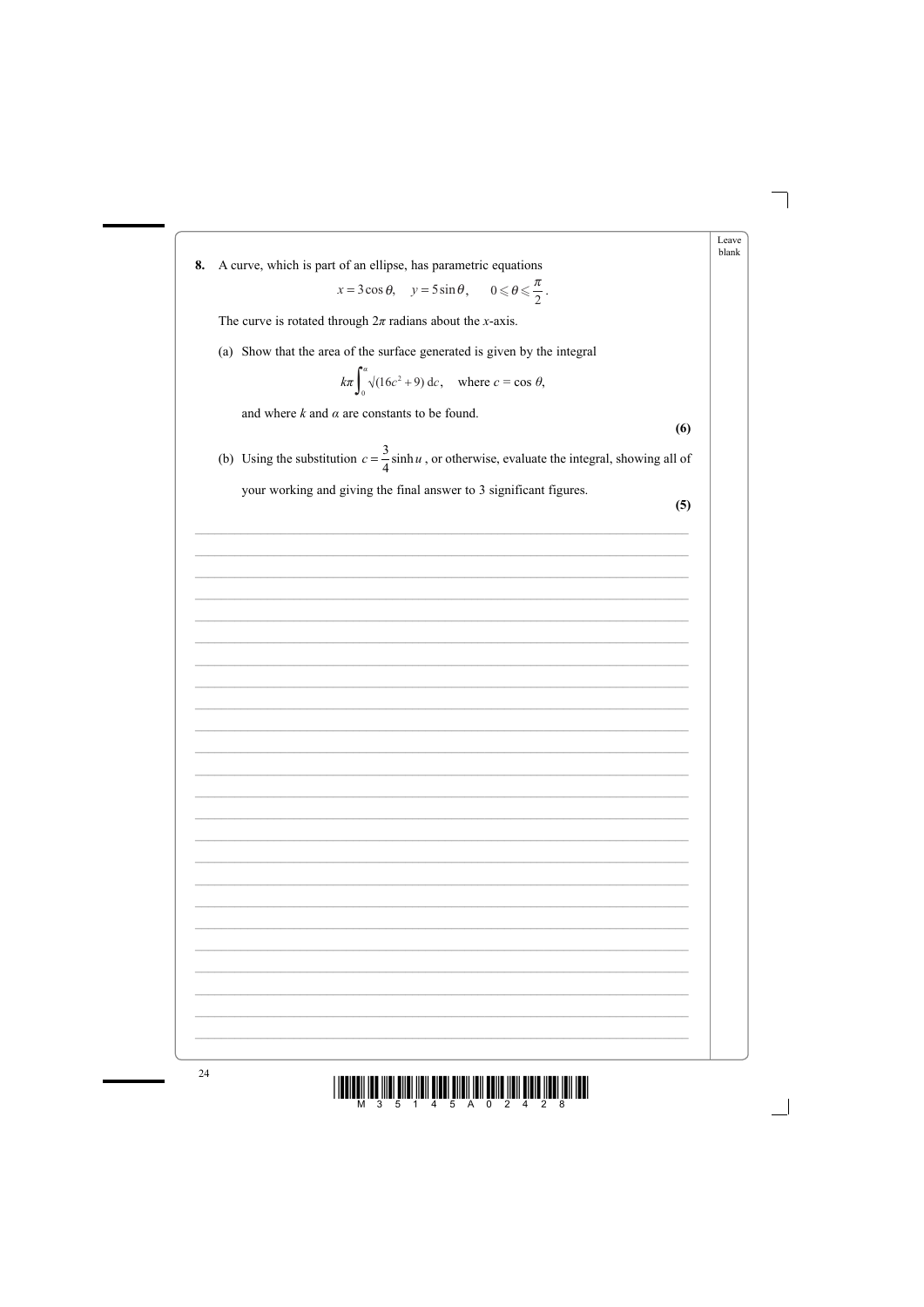Leave blank

A curve, which is part of an ellipse, has parametric equations 8.

$$
x = 3\cos\theta
$$
,  $y = 5\sin\theta$ ,  $0 \le \theta \le \frac{\pi}{2}$ .

The curve is rotated through  $2\pi$  radians about the *x*-axis.

(a) Show that the area of the surface generated is given by the integral

$$
k\pi \int_0^{\alpha} \sqrt{(16c^2 + 9)} \, dc
$$
, where  $c = \cos \theta$ ,

and where  $k$  and  $\alpha$  are constants to be found.

 $(6)$ 

(b) Using the substitution  $c = \frac{3}{4} \sinh u$ , or otherwise, evaluate the integral, showing all of your working and giving the final answer to 3 significant figures.

 $(5)$ 

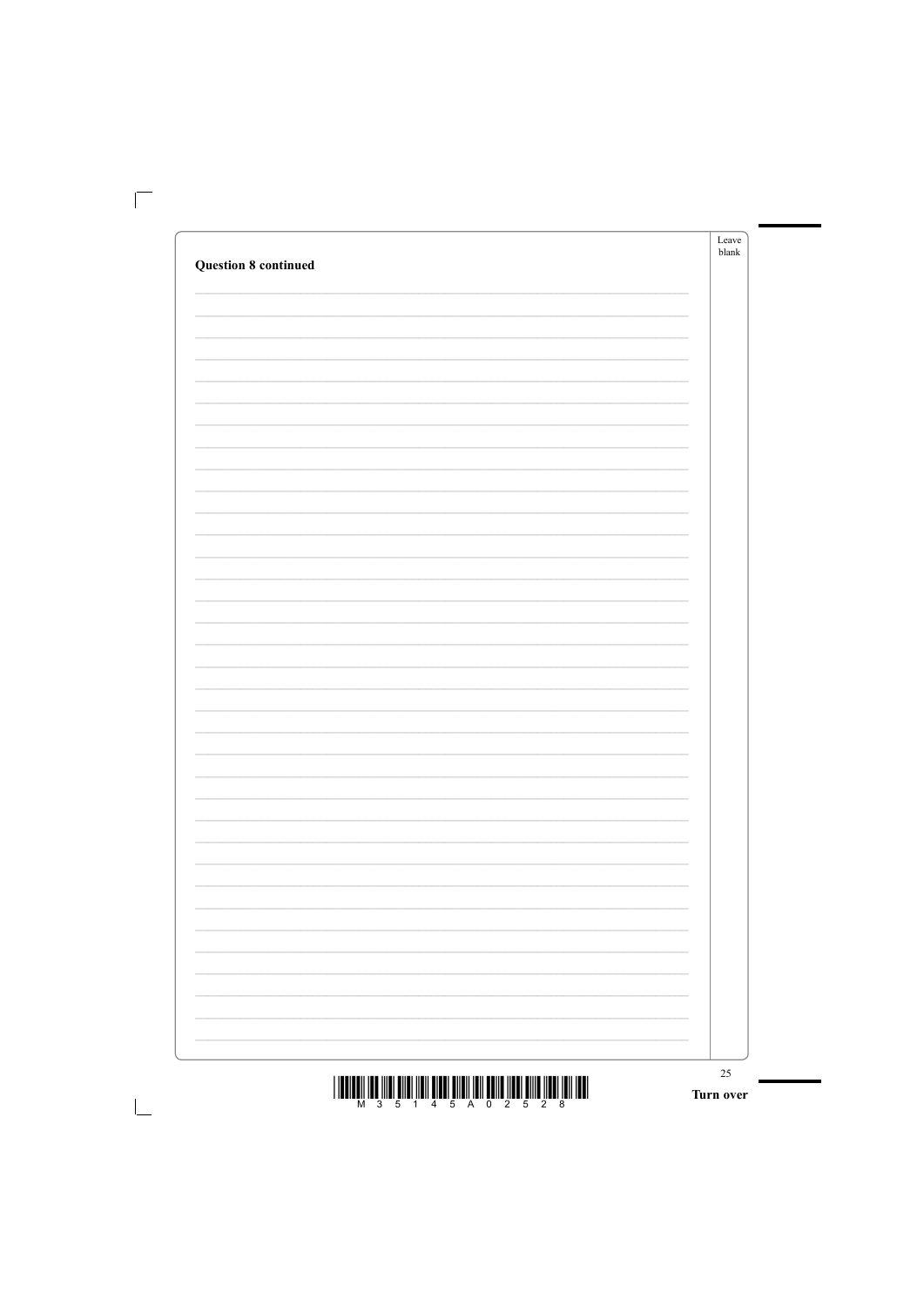|                                                                                     | Leave<br>${\sf blank}$ |
|-------------------------------------------------------------------------------------|------------------------|
| <b>Question 8 continued</b>                                                         |                        |
|                                                                                     |                        |
|                                                                                     |                        |
|                                                                                     |                        |
|                                                                                     |                        |
|                                                                                     |                        |
|                                                                                     |                        |
|                                                                                     |                        |
|                                                                                     |                        |
|                                                                                     |                        |
|                                                                                     |                        |
|                                                                                     |                        |
|                                                                                     |                        |
|                                                                                     |                        |
|                                                                                     |                        |
|                                                                                     |                        |
|                                                                                     |                        |
|                                                                                     |                        |
|                                                                                     |                        |
|                                                                                     |                        |
|                                                                                     |                        |
|                                                                                     |                        |
|                                                                                     |                        |
|                                                                                     |                        |
|                                                                                     |                        |
|                                                                                     |                        |
|                                                                                     |                        |
|                                                                                     |                        |
|                                                                                     |                        |
|                                                                                     |                        |
|                                                                                     |                        |
| I INNIMALI INN IIINI MIINI IINII MINNI MIINII INII MUITU IINNI HIIN IINII INII IMII | $25\,$                 |

 $\frac{1}{2}\left\|\left\|\left[\prod_{i=1}^m\prod_{j=1}^m\prod_{j=1}^m\prod_{j=1}^m\prod_{j=1}^m\prod_{j=1}^m\prod_{j=1}^m\prod_{j=1}^m\prod_{j=1}^m\prod_{j=1}^m\prod_{j=1}^m\prod_{j=1}^m\prod_{j=1}^m\prod_{j=1}^m\prod_{j=1}^m\prod_{j=1}^m\prod_{j=1}^m\prod_{j=1}^m\prod_{j=1}^m\prod_{j=1}^m\prod_{j=1}^m\prod_{j=1}^m\prod_{j=1}^$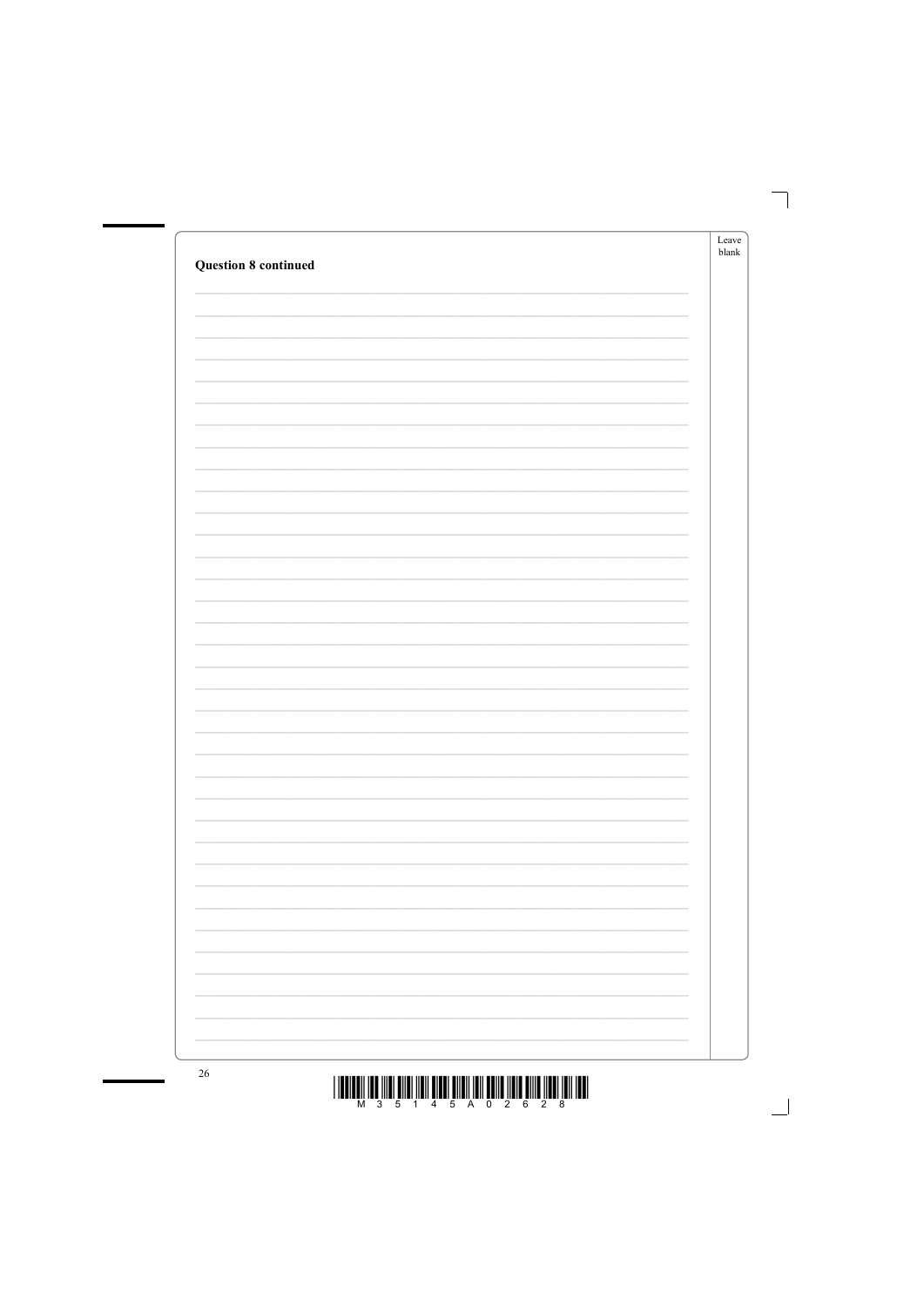|                             | Leave<br>${\sf blank}$ |
|-----------------------------|------------------------|
| <b>Question 8 continued</b> |                        |
|                             |                        |
|                             |                        |
|                             |                        |
|                             |                        |
|                             |                        |
|                             |                        |
|                             |                        |
|                             |                        |
|                             |                        |
|                             |                        |
|                             |                        |
|                             |                        |
|                             |                        |
|                             |                        |
|                             |                        |
|                             |                        |
|                             |                        |
|                             |                        |
|                             |                        |
|                             |                        |
|                             |                        |
|                             |                        |
|                             |                        |
|                             |                        |
|                             |                        |
|                             |                        |
|                             |                        |
| $\overline{C}$              |                        |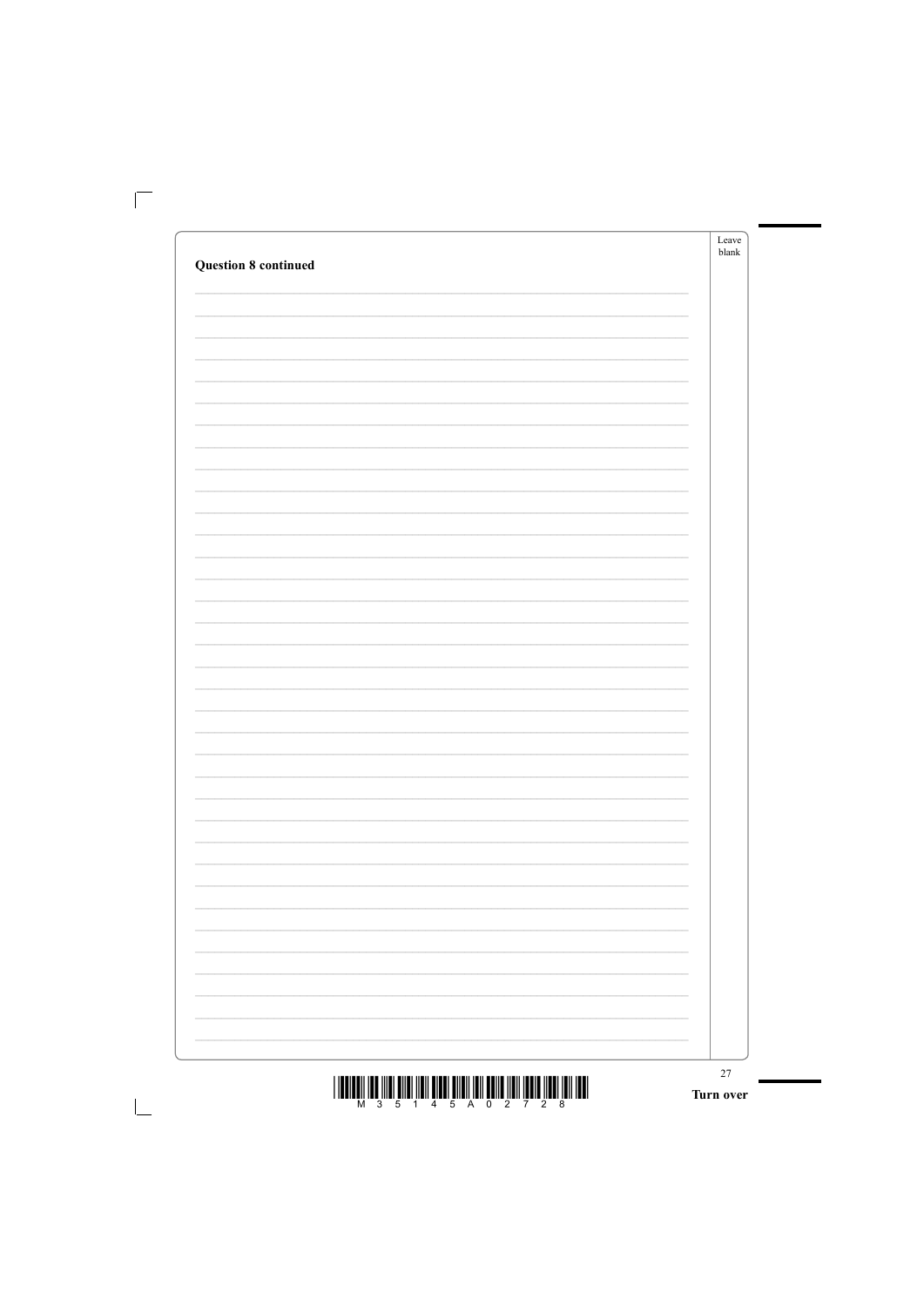|                                                                                                 | ${\it Leave}$<br>${\sf blank}$ |
|-------------------------------------------------------------------------------------------------|--------------------------------|
| <b>Question 8 continued</b>                                                                     |                                |
|                                                                                                 |                                |
|                                                                                                 |                                |
|                                                                                                 |                                |
|                                                                                                 |                                |
|                                                                                                 |                                |
|                                                                                                 |                                |
|                                                                                                 |                                |
|                                                                                                 |                                |
|                                                                                                 |                                |
|                                                                                                 |                                |
|                                                                                                 |                                |
|                                                                                                 |                                |
|                                                                                                 |                                |
|                                                                                                 |                                |
|                                                                                                 |                                |
|                                                                                                 |                                |
|                                                                                                 |                                |
|                                                                                                 |                                |
|                                                                                                 |                                |
|                                                                                                 |                                |
|                                                                                                 |                                |
|                                                                                                 |                                |
|                                                                                                 |                                |
|                                                                                                 |                                |
|                                                                                                 |                                |
|                                                                                                 |                                |
|                                                                                                 |                                |
|                                                                                                 |                                |
|                                                                                                 |                                |
|                                                                                                 |                                |
|                                                                                                 |                                |
| <u>ו ושמן זומן וממון מוממן זומן מווסט וומן וומוזמ וממון ומוז ומוזמ ומוז מסון וממן ווממון וו</u> | $27\,$                         |